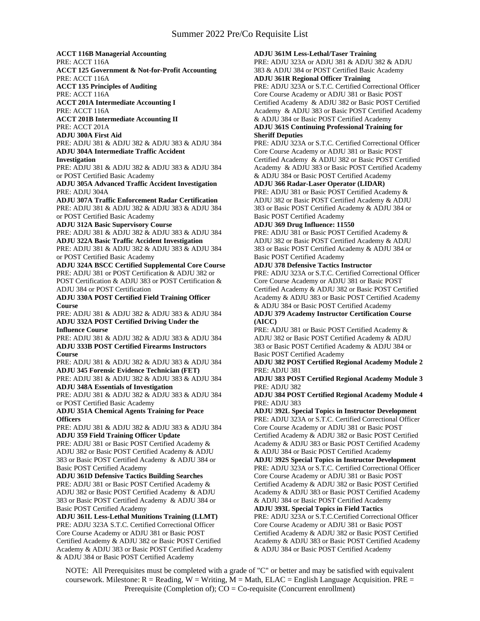**ACCT 116B Managerial Accounting** PRE: ACCT 116A **ACCT 125 Government & Not-for-Profit Accounting** PRE: ACCT 116A **ACCT 135 Principles of Auditing** PRE: ACCT 116A **ACCT 201A Intermediate Accounting I** PRE: ACCT 116A **ACCT 201B Intermediate Accounting II** PRE: ACCT 201A **ADJU 300A First Aid** PRE: ADJU 381 & ADJU 382 & ADJU 383 & ADJU 384 **ADJU 304A Intermediate Traffic Accident Investigation** PRE: ADJU 381 & ADJU 382 & ADJU 383 & ADJU 384 or POST Certified Basic Academy **ADJU 305A Advanced Traffic Accident Investigation** PRE: ADJU 304A **ADJU 307A Traffic Enforcement Radar Certification** PRE: ADJU 381 & ADJU 382 & ADJU 383 & ADJU 384 or POST Certified Basic Academy **ADJU 312A Basic Supervisory Course** PRE: ADJU 381 & ADJU 382 & ADJU 383 & ADJU 384 **ADJU 322A Basic Traffic Accident Investigation** PRE: ADJU 381 & ADJU 382 & ADJU 383 & ADJU 384 or POST Certified Basic Academy **ADJU 324A BSCC Certified Supplemental Core Course** PRE: ADJU 381 or POST Certification & ADJU 382 or POST Certification & ADJU 383 or POST Certification & ADJU 384 or POST Certification **ADJU 330A POST Certified Field Training Officer Course** PRE: ADJU 381 & ADJU 382 & ADJU 383 & ADJU 384 **ADJU 332A POST Certified Driving Under the Influence Course** PRE: ADJU 381 & ADJU 382 & ADJU 383 & ADJU 384 **ADJU 333B POST Certified Firearms Instructors Course** PRE: ADJU 381 & ADJU 382 & ADJU 383 & ADJU 384 **ADJU 345 Forensic Evidence Technician (FET)** PRE: ADJU 381 & ADJU 382 & ADJU 383 & ADJU 384 **ADJU 348A Essentials of Investigation** PRE: ADJU 381 & ADJU 382 & ADJU 383 & ADJU 384 or POST Certified Basic Academy **ADJU 351A Chemical Agents Training for Peace Officers** PRE: ADJU 381 & ADJU 382 & ADJU 383 & ADJU 384 **ADJU 359 Field Training Officer Update** PRE: ADJU 381 or Basic POST Certified Academy & ADJU 382 or Basic POST Certified Academy & ADJU 383 or Basic POST Certified Academy & ADJU 384 or Basic POST Certified Academy **ADJU 361D Defensive Tactics Building Searches** PRE: ADJU 381 or Basic POST Certified Academy & ADJU 382 or Basic POST Certified Academy & ADJU 383 or Basic POST Certified Academy & ADJU 384 or Basic POST Certified Academy **ADJU 361L Less-Lethal Munitions Training (LLMT)** PRE: ADJU 323A S.T.C. Certified Correctional Officer Core Course Academy or ADJU 381 or Basic POST Certified Academy & ADJU 382 or Basic POST Certified Academy & ADJU 383 or Basic POST Certified Academy & ADJU 384 or Basic POST Certified Academy

**ADJU 361M Less-Lethal/Taser Training**

PRE: ADJU 323A or ADJU 381 & ADJU 382 & ADJU 383 & ADJU 384 or POST Certified Basic Academy

**ADJU 361R Regional Officer Training** PRE: ADJU 323A or S.T.C. Certified Correctional Officer Core Course Academy or ADJU 381 or Basic POST Certified Academy & ADJU 382 or Basic POST Certified Academy & ADJU 383 or Basic POST Certified Academy & ADJU 384 or Basic POST Certified Academy

#### **ADJU 361S Continuing Professional Training for Sheriff Deputies**

PRE: ADJU 323A or S.T.C. Certified Correctional Officer Core Course Academy or ADJU 381 or Basic POST Certified Academy & ADJU 382 or Basic POST Certified Academy & ADJU 383 or Basic POST Certified Academy & ADJU 384 or Basic POST Certified Academy

## **ADJU 366 Radar-Laser Operator (LIDAR)**

PRE: ADJU 381 or Basic POST Certified Academy & ADJU 382 or Basic POST Certified Academy & ADJU 383 or Basic POST Certified Academy & ADJU 384 or Basic POST Certified Academy

## **ADJU 369 Drug Influence: 11550**

PRE: ADJU 381 or Basic POST Certified Academy & ADJU 382 or Basic POST Certified Academy & ADJU 383 or Basic POST Certified Academy & ADJU 384 or Basic POST Certified Academy

#### **ADJU 378 Defensive Tactics Instructor**

PRE: ADJU 323A or S.T.C. Certified Correctional Officer Core Course Academy or ADJU 381 or Basic POST Certified Academy & ADJU 382 or Basic POST Certified Academy & ADJU 383 or Basic POST Certified Academy & ADJU 384 or Basic POST Certified Academy

# **ADJU 379 Academy Instructor Certification Course (AICC)**

PRE: ADJU 381 or Basic POST Certified Academy & ADJU 382 or Basic POST Certified Academy & ADJU 383 or Basic POST Certified Academy & ADJU 384 or Basic POST Certified Academy

**ADJU 382 POST Certified Regional Academy Module 2** PRE: ADJU 381

**ADJU 383 POST Certified Regional Academy Module 3** PRE: ADJU 382

**ADJU 384 POST Certified Regional Academy Module 4** PRE: ADJU 383

**ADJU 392L Special Topics in Instructor Development** PRE: ADJU 323A or S.T.C. Certified Correctional Officer Core Course Academy or ADJU 381 or Basic POST Certified Academy & ADJU 382 or Basic POST Certified Academy & ADJU 383 or Basic POST Certified Academy & ADJU 384 or Basic POST Certified Academy

**ADJU 392S Special Topics in Instructor Development** PRE: ADJU 323A or S.T.C. Certified Correctional Officer Core Course Academy or ADJU 381 or Basic POST Certified Academy & ADJU 382 or Basic POST Certified Academy & ADJU 383 or Basic POST Certified Academy & ADJU 384 or Basic POST Certified Academy

# **ADJU 393L Special Topics in Field Tactics**

PRE: ADJU 323A or S.T.C.Certified Correctional Officer Core Course Academy or ADJU 381 or Basic POST Certified Academy & ADJU 382 or Basic POST Certified Academy & ADJU 383 or Basic POST Certified Academy & ADJU 384 or Basic POST Certified Academy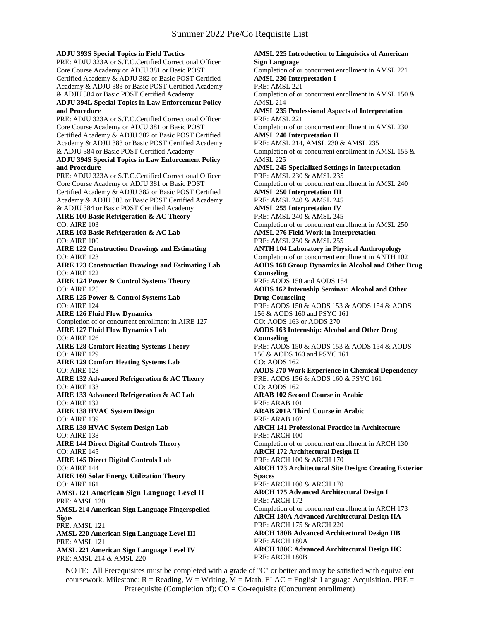### **ADJU 393S Special Topics in Field Tactics**

PRE: ADJU 323A or S.T.C.Certified Correctional Officer Core Course Academy or ADJU 381 or Basic POST Certified Academy & ADJU 382 or Basic POST Certified Academy & ADJU 383 or Basic POST Certified Academy & ADJU 384 or Basic POST Certified Academy **ADJU 394L Special Topics in Law Enforcement Policy and Procedure** PRE: ADJU 323A or S.T.C.Certified Correctional Officer

Core Course Academy or ADJU 381 or Basic POST Certified Academy & ADJU 382 or Basic POST Certified Academy & ADJU 383 or Basic POST Certified Academy & ADJU 384 or Basic POST Certified Academy

#### **ADJU 394S Special Topics in Law Enforcement Policy and Procedure**

PRE: ADJU 323A or S.T.C.Certified Correctional Officer Core Course Academy or ADJU 381 or Basic POST Certified Academy & ADJU 382 or Basic POST Certified Academy & ADJU 383 or Basic POST Certified Academy & ADJU 384 or Basic POST Certified Academy **AIRE 100 Basic Refrigeration & AC Theory** CO: AIRE 103 **AIRE 103 Basic Refrigeration & AC Lab** CO: AIRE 100 **AIRE 122 Construction Drawings and Estimating** CO: AIRE 123 **AIRE 123 Construction Drawings and Estimating Lab** CO: AIRE 122 **AIRE 124 Power & Control Systems Theory** CO: AIRE 125 **AIRE 125 Power & Control Systems Lab** CO: AIRE 124 **AIRE 126 Fluid Flow Dynamics** Completion of or concurrent enrollment in AIRE 127 **AIRE 127 Fluid Flow Dynamics Lab** CO: AIRE 126 **AIRE 128 Comfort Heating Systems Theory** CO: AIRE 129 **AIRE 129 Comfort Heating Systems Lab** CO: AIRE 128 **AIRE 132 Advanced Refrigeration & AC Theory** CO: AIRE 133 **AIRE 133 Advanced Refrigeration & AC Lab** CO: AIRE 132 **AIRE 138 HVAC System Design** CO: AIRE 139 **AIRE 139 HVAC System Design Lab** CO: AIRE 138 **AIRE 144 Direct Digital Controls Theory** CO: AIRE 145 **AIRE 145 Direct Digital Controls Lab** CO: AIRE 144 **AIRE 160 Solar Energy Utilization Theory** CO: AIRE 161 **AMSL 121 American Sign Language Level II** PRE: AMSL 120 **AMSL 214 American Sign Language Fingerspelled Signs** PRE: AMSL 121 **AMSL 220 American Sign Language Level III** PRE: AMSL 121 **AMSL 221 American Sign Language Level IV** PRE: AMSL 214 & AMSL 220

**AMSL 225 Introduction to Linguistics of American Sign Language** Completion of or concurrent enrollment in AMSL 221 **AMSL 230 Interpretation I** PRE: AMSL 221 Completion of or concurrent enrollment in AMSL 150 & AMSL 214 **AMSL 235 Professional Aspects of Interpretation** PRE: AMSL 221 Completion of or concurrent enrollment in AMSL 230 **AMSL 240 Interpretation II** PRE: AMSL 214, AMSL 230 & AMSL 235 Completion of or concurrent enrollment in AMSL 155 & AMSL 225 **AMSL 245 Specialized Settings in Interpretation** PRE: AMSL 230 & AMSL 235 Completion of or concurrent enrollment in AMSL 240 **AMSL 250 Interpretation III** PRE: AMSL 240 & AMSL 245 **AMSL 255 Interpretation IV** PRE: AMSL 240 & AMSL 245 Completion of or concurrent enrollment in AMSL 250 **AMSL 276 Field Work in Interpretation** PRE: AMSL 250 & AMSL 255 **ANTH 104 Laboratory in Physical Anthropology** Completion of or concurrent enrollment in ANTH 102 **AODS 160 Group Dynamics in Alcohol and Other Drug Counseling** PRE: AODS 150 and AODS 154 **AODS 162 Internship Seminar: Alcohol and Other Drug Counseling** PRE: AODS 150 & AODS 153 & AODS 154 & AODS 156 & AODS 160 and PSYC 161 CO: AODS 163 or AODS 270 **AODS 163 Internship: Alcohol and Other Drug Counseling** PRE: AODS 150 & AODS 153 & AODS 154 & AODS 156 & AODS 160 and PSYC 161 CO: AODS 162 **AODS 270 Work Experience in Chemical Dependency** PRE: AODS 156 & AODS 160 & PSYC 161 CO: AODS 162 **ARAB 102 Second Course in Arabic** PRE: ARAB 101 **ARAB 201A Third Course in Arabic** PRE: ARAB 102 **ARCH 141 Professional Practice in Architecture** PRE: ARCH 100 Completion of or concurrent enrollment in ARCH 130 **ARCH 172 Architectural Design II** PRE: ARCH 100 & ARCH 170 **ARCH 173 Architectural Site Design: Creating Exterior Spaces** PRE: ARCH 100 & ARCH 170 **ARCH 175 Advanced Architectural Design I** PRE: ARCH 172 Completion of or concurrent enrollment in ARCH 173 **ARCH 180A Advanced Architectural Design IIA** PRE: ARCH 175 & ARCH 220 **ARCH 180B Advanced Architectural Design IIB** PRE: ARCH 180A **ARCH 180C Advanced Architectural Design IIC** PRE: ARCH 180B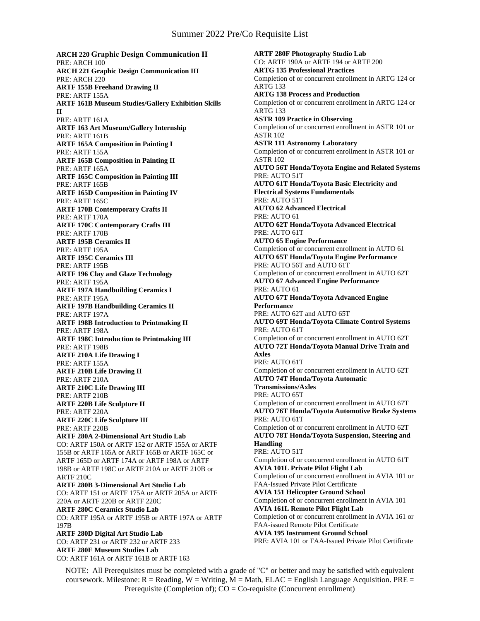# Summer 2022 Pre/Co Requisite List

**ARCH 220 Graphic Design Communication II** PRE: ARCH 100 **ARCH 221 Graphic Design Communication III** PRE: ARCH 220 **ARTF 155B Freehand Drawing II** PRE: ARTF 155A **ARTF 161B Museum Studies/Gallery Exhibition Skills II** PRE: ARTF 161A **ARTF 163 Art Museum/Gallery Internship** PRE: ARTF 161B **ARTF 165A Composition in Painting I** PRE: ARTF 155A **ARTF 165B Composition in Painting II** PRE: ARTF 165A **ARTF 165C Composition in Painting III** PRE: ARTF 165B **ARTF 165D Composition in Painting IV** PRE: ARTF 165C **ARTF 170B Contemporary Crafts II** PRE: ARTF 170A **ARTF 170C Contemporary Crafts III** PRE: ARTF 170B **ARTF 195B Ceramics II** PRE: ARTF 195A **ARTF 195C Ceramics III** PRE: ARTF 195B **ARTF 196 Clay and Glaze Technology** PRE: ARTF 195A **ARTF 197A Handbuilding Ceramics I** PRE: ARTF 195A **ARTF 197B Handbuilding Ceramics II** PRE: ARTF 197A **ARTF 198B Introduction to Printmaking II** PRE: ARTF 198A **ARTF 198C Introduction to Printmaking III** PRE: ARTF 198B **ARTF 210A Life Drawing I** PRE: ARTF 155A **ARTF 210B Life Drawing II** PRE: ARTF 210A **ARTF 210C Life Drawing III** PRE: ARTF 210B **ARTF 220B Life Sculpture II** PRE: ARTF 220A **ARTF 220C Life Sculpture III** PRE: ARTF 220B **ARTF 280A 2-Dimensional Art Studio Lab** CO: ARTF 150A or ARTF 152 or ARTF 155A or ARTF 155B or ARTF 165A or ARTF 165B or ARTF 165C or ARTF 165D or ARTF 174A or ARTF 198A or ARTF 198B or ARTF 198C or ARTF 210A or ARTF 210B or ARTF 210C **ARTF 280B 3-Dimensional Art Studio Lab** CO: ARTF 151 or ARTF 175A or ARTF 205A or ARTF 220A or ARTF 220B or ARTF 220C **ARTF 280C Ceramics Studio Lab** CO: ARTF 195A or ARTF 195B or ARTF 197A or ARTF 197B **ARTF 280D Digital Art Studio Lab** CO: ARTF 231 or ARTF 232 or ARTF 233 **ARTF 280E Museum Studies Lab** CO: ARTF 161A or ARTF 161B or ARTF 163

**ARTF 280F Photography Studio Lab** CO: ARTF 190A or ARTF 194 or ARTF 200 **ARTG 135 Professional Practices** Completion of or concurrent enrollment in ARTG 124 or ARTG 133 **ARTG 138 Process and Production** Completion of or concurrent enrollment in ARTG 124 or ARTG 133 **ASTR 109 Practice in Observing** Completion of or concurrent enrollment in ASTR 101 or ASTR 102 **ASTR 111 Astronomy Laboratory** Completion of or concurrent enrollment in ASTR 101 or ASTR 102 **AUTO 56T Honda/Toyota Engine and Related Systems** PRE: AUTO 51T **AUTO 61T Honda/Toyota Basic Electricity and Electrical Systems Fundamentals** PRE: AUTO 51T **AUTO 62 Advanced Electrical** PRE: AUTO 61 **AUTO 62T Honda/Toyota Advanced Electrical** PRE: AUTO 61T **AUTO 65 Engine Performance** Completion of or concurrent enrollment in AUTO 61 **AUTO 65T Honda/Toyota Engine Performance** PRE: AUTO 56T and AUTO 61T Completion of or concurrent enrollment in AUTO 62T **AUTO 67 Advanced Engine Performance** PRE: AUTO 61 **AUTO 67T Honda/Toyota Advanced Engine Performance** PRE: AUTO 62T and AUTO 65T **AUTO 69T Honda/Toyota Climate Control Systems** PRE: AUTO 61T Completion of or concurrent enrollment in AUTO 62T **AUTO 72T Honda/Toyota Manual Drive Train and Axles** PRE: AUTO 61T Completion of or concurrent enrollment in AUTO 62T **AUTO 74T Honda/Toyota Automatic Transmissions/Axles** PRE: AUTO 65T Completion of or concurrent enrollment in AUTO 67T **AUTO 76T Honda/Toyota Automotive Brake Systems** PRE: AUTO 61T Completion of or concurrent enrollment in AUTO 62T **AUTO 78T Honda/Toyota Suspension, Steering and Handling** PRE: AUTO 51T Completion of or concurrent enrollment in AUTO 61T **AVIA 101L Private Pilot Flight Lab** Completion of or concurrent enrollment in AVIA 101 or FAA-Issued Private Pilot Certificate **AVIA 151 Helicopter Ground School** Completion of or concurrent enrollment in AVIA 101 **AVIA 161L Remote Pilot Flight Lab** Completion of or concurrent enrollment in AVIA 161 or FAA-issued Remote Pilot Certificate **AVIA 195 Instrument Ground School** PRE: AVIA 101 or FAA-Issued Private Pilot Certificate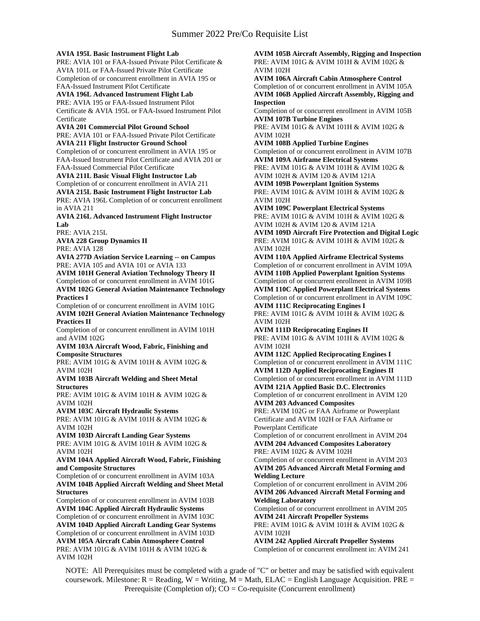**AVIA 195L Basic Instrument Flight Lab**

PRE: AVIA 101 or FAA-Issued Private Pilot Certificate & AVIA 101L or FAA-Issued Private Pilot Certificate Completion of or concurrent enrollment in AVIA 195 or FAA-Issued Instrument Pilot Certificate

**AVIA 196L Advanced Instrument Flight Lab** PRE: AVIA 195 or FAA-Issued Instrument Pilot Certificate & AVIA 195L or FAA-Issued Instrument Pilot **Certificate** 

## **AVIA 201 Commercial Pilot Ground School**

PRE: AVIA 101 or FAA-Issued Private Pilot Certificate **AVIA 211 Flight Instructor Ground School**

Completion of or concurrent enrollment in AVIA 195 or FAA-Issued Instrument Pilot Certificate and AVIA 201 or FAA-Issued Commercial Pilot Certificate

### **AVIA 211L Basic Visual Flight Instructor Lab** Completion of or concurrent enrollment in AVIA 211

**AVIA 215L Basic Instrument Flight Instructor Lab** PRE: AVIA 196L Completion of or concurrent enrollment in AVIA 211

**AVIA 216L Advanced Instrument Flight Instructor Lab**

PRE: AVIA 215L

**AVIA 228 Group Dynamics II**

PRE: AVIA 128

**AVIA 277D Aviation Service Learning -- on Campus** PRE: AVIA 105 and AVIA 101 or AVIA 133

**AVIM 101H General Aviation Technology Theory II** Completion of or concurrent enrollment in AVIM 101G **AVIM 102G General Aviation Maintenance Technology** 

**Practices I**

Completion of or concurrent enrollment in AVIM 101G **AVIM 102H General Aviation Maintenance Technology Practices II**

Completion of or concurrent enrollment in AVIM 101H and AVIM 102G

**AVIM 103A Aircraft Wood, Fabric, Finishing and Composite Structures**

PRE: AVIM 101G & AVIM 101H & AVIM 102G & AVIM 102H

**AVIM 103B Aircraft Welding and Sheet Metal Structures**

PRE: AVIM 101G & AVIM 101H & AVIM 102G & AVIM 102H

**AVIM 103C Aircraft Hydraulic Systems**

PRE: AVIM 101G & AVIM 101H & AVIM 102G & AVIM 102H

**AVIM 103D Aircraft Landing Gear Systems** PRE: AVIM 101G & AVIM 101H & AVIM 102G & AVIM 102H

**AVIM 104A Applied Aircraft Wood, Fabric, Finishing and Composite Structures**

Completion of or concurrent enrollment in AVIM 103A **AVIM 104B Applied Aircraft Welding and Sheet Metal Structures**

Completion of or concurrent enrollment in AVIM 103B **AVIM 104C Applied Aircraft Hydraulic Systems** Completion of or concurrent enrollment in AVIM 103C **AVIM 104D Applied Aircraft Landing Gear Systems** Completion of or concurrent enrollment in AVIM 103D **AVIM 105A Aircraft Cabin Atmosphere Control** PRE: AVIM 101G & AVIM 101H & AVIM 102G & AVIM 102H

**AVIM 105B Aircraft Assembly, Rigging and Inspection** PRE: AVIM 101G & AVIM 101H & AVIM 102G & AVIM 102H **AVIM 106A Aircraft Cabin Atmosphere Control** Completion of or concurrent enrollment in AVIM 105A **AVIM 106B Applied Aircraft Assembly, Rigging and Inspection** Completion of or concurrent enrollment in AVIM 105B **AVIM 107B Turbine Engines** PRE: AVIM 101G & AVIM 101H & AVIM 102G & AVIM 102H **AVIM 108B Applied Turbine Engines** Completion of or concurrent enrollment in AVIM 107B **AVIM 109A Airframe Electrical Systems** PRE: AVIM 101G & AVIM 101H & AVIM 102G & AVIM 102H & AVIM 120 & AVIM 121A **AVIM 109B Powerplant Ignition Systems** PRE: AVIM 101G & AVIM 101H & AVIM 102G & AVIM 102H **AVIM 109C Powerplant Electrical Systems** PRE: AVIM 101G & AVIM 101H & AVIM 102G & AVIM 102H & AVIM 120 & AVIM 121A **AVIM 109D Aircraft Fire Protection and Digital Logic** PRE: AVIM 101G & AVIM 101H & AVIM 102G & AVIM 102H **AVIM 110A Applied Airframe Electrical Systems** Completion of or concurrent enrollment in AVIM 109A **AVIM 110B Applied Powerplant Ignition Systems** Completion of or concurrent enrollment in AVIM 109B **AVIM 110C Applied Powerplant Electrical Systems** Completion of or concurrent enrollment in AVIM 109C **AVIM 111C Reciprocating Engines I** PRE: AVIM 101G & AVIM 101H & AVIM 102G & AVIM 102H **AVIM 111D Reciprocating Engines II** PRE: AVIM 101G & AVIM 101H & AVIM 102G & AVIM 102H **AVIM 112C Applied Reciprocating Engines I** Completion of or concurrent enrollment in AVIM 111C **AVIM 112D Applied Reciprocating Engines II** Completion of or concurrent enrollment in AVIM 111D **AVIM 121A Applied Basic D.C. Electronics** Completion of or concurrent enrollment in AVIM 120 **AVIM 203 Advanced Composites** PRE: AVIM 102G or FAA Airframe or Powerplant Certificate and AVIM 102H or FAA Airframe or Powerplant Certificate Completion of or concurrent enrollment in AVIM 204 **AVIM 204 Advanced Composites Laboratory** PRE: AVIM 102G & AVIM 102H Completion of or concurrent enrollment in AVIM 203 **AVIM 205 Advanced Aircraft Metal Forming and Welding Lecture** Completion of or concurrent enrollment in AVIM 206

**AVIM 206 Advanced Aircraft Metal Forming and Welding Laboratory** Completion of or concurrent enrollment in AVIM 205 **AVIM 241 Aircraft Propeller Systems**

PRE: AVIM 101G & AVIM 101H & AVIM 102G & AVIM 102H

**AVIM 242 Applied Aircraft Propeller Systems** Completion of or concurrent enrollment in: AVIM 241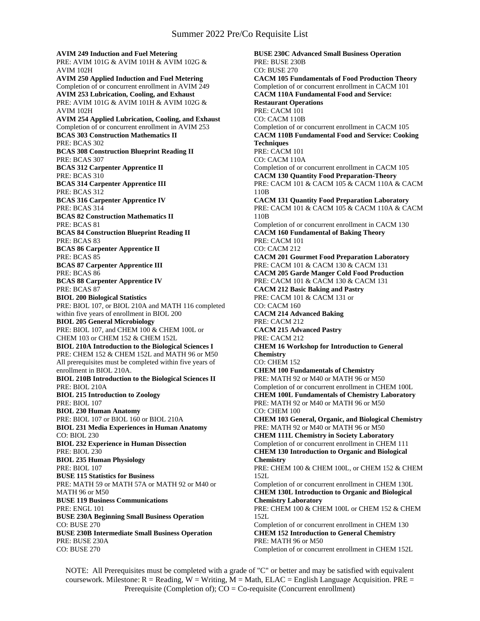**AVIM 249 Induction and Fuel Metering** PRE: AVIM 101G & AVIM 101H & AVIM 102G & AVIM 102H **AVIM 250 Applied Induction and Fuel Metering** Completion of or concurrent enrollment in AVIM 249 **AVIM 253 Lubrication, Cooling, and Exhaust** PRE: AVIM 101G & AVIM 101H & AVIM 102G & AVIM 102H **AVIM 254 Applied Lubrication, Cooling, and Exhaust** Completion of or concurrent enrollment in AVIM 253 **BCAS 303 Construction Mathematics II** PRE: BCAS 302 **BCAS 308 Construction Blueprint Reading II** PRE: BCAS 307 **BCAS 312 Carpenter Apprentice II** PRE: BCAS 310 **BCAS 314 Carpenter Apprentice III** PRE: BCAS 312 **BCAS 316 Carpenter Apprentice IV** PRE: BCAS 314 **BCAS 82 Construction Mathematics II** PRE: BCAS 81 **BCAS 84 Construction Blueprint Reading II** PRE: BCAS 83 **BCAS 86 Carpenter Apprentice II** PRE: BCAS 85 **BCAS 87 Carpenter Apprentice III** PRE: BCAS 86 **BCAS 88 Carpenter Apprentice IV** PRE: BCAS 87 **BIOL 200 Biological Statistics** PRE: BIOL 107, or BIOL 210A and MATH 116 completed within five years of enrollment in BIOL 200 **BIOL 205 General Microbiology** PRE: BIOL 107, and CHEM 100 & CHEM 100L or CHEM 103 or CHEM 152 & CHEM 152L **BIOL 210A Introduction to the Biological Sciences I** PRE: CHEM 152 & CHEM 152L and MATH 96 or M50 All prerequisites must be completed within five years of enrollment in BIOL 210A. **BIOL 210B Introduction to the Biological Sciences II** PRE: BIOL 210A **BIOL 215 Introduction to Zoology** PRE: BIOL 107 **BIOL 230 Human Anatomy** PRE: BIOL 107 or BIOL 160 or BIOL 210A **BIOL 231 Media Experiences in Human Anatomy** CO: BIOL 230 **BIOL 232 Experience in Human Dissection** PRE: BIOL 230 **BIOL 235 Human Physiology** PRE: BIOL 107 **BUSE 115 Statistics for Business** PRE: MATH 59 or MATH 57A or MATH 92 or M40 or MATH 96 or M50 **BUSE 119 Business Communications** PRE: ENGL 101 **BUSE 230A Beginning Small Business Operation** CO: BUSE 270 **BUSE 230B Intermediate Small Business Operation** PRE: BUSE 230A CO: BUSE 270

**BUSE 230C Advanced Small Business Operation** PRE: BUSE 230B CO: BUSE 270 **CACM 105 Fundamentals of Food Production Theory** Completion of or concurrent enrollment in CACM 101 **CACM 110A Fundamental Food and Service: Restaurant Operations** PRE: CACM 101 CO: CACM 110B Completion of or concurrent enrollment in CACM 105 **CACM 110B Fundamental Food and Service: Cooking Techniques** PRE: CACM 101 CO: CACM 110A Completion of or concurrent enrollment in CACM 105 **CACM 130 Quantity Food Preparation-Theory** PRE: CACM 101 & CACM 105 & CACM 110A & CACM 110B **CACM 131 Quantity Food Preparation Laboratory** PRE: CACM 101 & CACM 105 & CACM 110A & CACM 110B Completion of or concurrent enrollment in CACM 130 **CACM 160 Fundamental of Baking Theory** PRE: CACM 101 CO: CACM 212 **CACM 201 Gourmet Food Preparation Laboratory** PRE: CACM 101 & CACM 130 & CACM 131 **CACM 205 Garde Manger Cold Food Production** PRE: CACM 101 & CACM 130 & CACM 131 **CACM 212 Basic Baking and Pastry** PRE: CACM 101 & CACM 131 or CO: CACM 160 **CACM 214 Advanced Baking** PRE: CACM 212 **CACM 215 Advanced Pastry** PRE: CACM 212 **CHEM 16 Workshop for Introduction to General Chemistry** CO: CHEM 152 **CHEM 100 Fundamentals of Chemistry** PRE: MATH 92 or M40 or MATH 96 or M50 Completion of or concurrent enrollment in CHEM 100L **CHEM 100L Fundamentals of Chemistry Laboratory** PRE: MATH 92 or M40 or MATH 96 or M50 CO: CHEM 100 **CHEM 103 General, Organic, and Biological Chemistry** PRE: MATH 92 or M40 or MATH 96 or M50 **CHEM 111L Chemistry in Society Laboratory** Completion of or concurrent enrollment in CHEM 111 **CHEM 130 Introduction to Organic and Biological Chemistry** PRE: CHEM 100 & CHEM 100L, or CHEM 152 & CHEM 152L Completion of or concurrent enrollment in CHEM 130L **CHEM 130L Introduction to Organic and Biological Chemistry Laboratory** PRE: CHEM 100 & CHEM 100L or CHEM 152 & CHEM 152L Completion of or concurrent enrollment in CHEM 130 **CHEM 152 Introduction to General Chemistry** PRE: MATH 96 or M50 Completion of or concurrent enrollment in CHEM 152L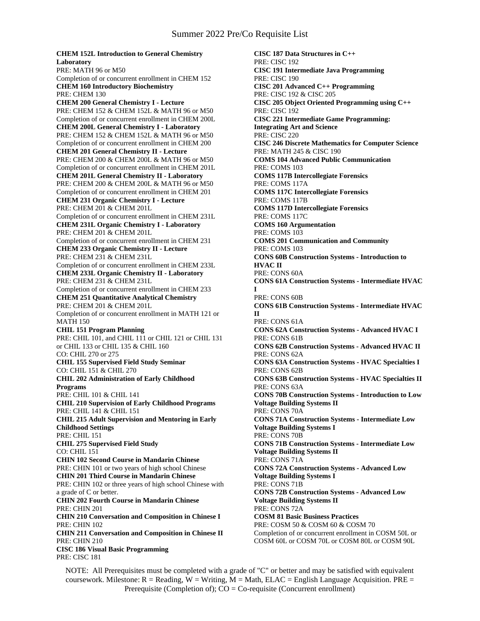**CHEM 152L Introduction to General Chemistry Laboratory** PRE: MATH 96 or M50 Completion of or concurrent enrollment in CHEM 152 **CHEM 160 Introductory Biochemistry** PRE: CHEM 130 **CHEM 200 General Chemistry I - Lecture** PRE: CHEM 152 & CHEM 152L & MATH 96 or M50 Completion of or concurrent enrollment in CHEM 200L **CHEM 200L General Chemistry I - Laboratory** PRE: CHEM 152 & CHEM 152L & MATH 96 or M50 Completion of or concurrent enrollment in CHEM 200 **CHEM 201 General Chemistry II - Lecture** PRE: CHEM 200 & CHEM 200L & MATH 96 or M50 Completion of or concurrent enrollment in CHEM 201L **CHEM 201L General Chemistry II - Laboratory** PRE: CHEM 200 & CHEM 200L & MATH 96 or M50 Completion of or concurrent enrollment in CHEM 201 **CHEM 231 Organic Chemistry I - Lecture** PRE: CHEM 201 & CHEM 201L Completion of or concurrent enrollment in CHEM 231L **CHEM 231L Organic Chemistry I - Laboratory** PRE: CHEM 201 & CHEM 201L Completion of or concurrent enrollment in CHEM 231 **CHEM 233 Organic Chemistry II - Lecture** PRE: CHEM 231 & CHEM 231L Completion of or concurrent enrollment in CHEM 233L **CHEM 233L Organic Chemistry II - Laboratory** PRE: CHEM 231 & CHEM 231L Completion of or concurrent enrollment in CHEM 233 **CHEM 251 Quantitative Analytical Chemistry** PRE: CHEM 201 & CHEM 201L Completion of or concurrent enrollment in MATH 121 or MATH 150 **CHIL 151 Program Planning** PRE: CHIL 101, and CHIL 111 or CHIL 121 or CHIL 131 or CHIL 133 or CHIL 135 & CHIL 160 CO: CHIL 270 or 275 **CHIL 155 Supervised Field Study Seminar** CO: CHIL 151 & CHIL 270 **CHIL 202 Administration of Early Childhood Programs** PRE: CHIL 101 & CHIL 141 **CHIL 210 Supervision of Early Childhood Programs** PRE: CHIL 141 & CHIL 151 **CHIL 215 Adult Supervision and Mentoring in Early Childhood Settings** PRE: CHIL 151 **CHIL 275 Supervised Field Study** CO: CHIL 151 **CHIN 102 Second Course in Mandarin Chinese** PRE: CHIN 101 or two years of high school Chinese **CHIN 201 Third Course in Mandarin Chinese** PRE: CHIN 102 or three years of high school Chinese with a grade of C or better. **CHIN 202 Fourth Course in Mandarin Chinese** PRE: CHIN 201 **CHIN 210 Conversation and Composition in Chinese I** PRE: CHIN 102 **CHIN 211 Conversation and Composition in Chinese II** PRE: CHIN 210 **CISC 186 Visual Basic Programming** PRE: CISC 181

**CISC 187 Data Structures in C++** PRE: CISC 192 **CISC 191 Intermediate Java Programming** PRE: CISC 190 **CISC 201 Advanced C++ Programming** PRE: CISC 192 & CISC 205 **CISC 205 Object Oriented Programming using C++** PRE: CISC 192 **CISC 221 Intermediate Game Programming: Integrating Art and Science** PRE: CISC 220 **CISC 246 Discrete Mathematics for Computer Science** PRE: MATH 245 & CISC 190 **COMS 104 Advanced Public Communication** PRE: COMS 103 **COMS 117B Intercollegiate Forensics** PRE: COMS 117A **COMS 117C Intercollegiate Forensics** PRE: COMS 117B **COMS 117D Intercollegiate Forensics** PRE: COMS 117C **COMS 160 Argumentation** PRE: COMS 103 **COMS 201 Communication and Community** PRE: COMS 103 **CONS 60B Construction Systems - Introduction to HVAC II** PRE: CONS 60A **CONS 61A Construction Systems - Intermediate HVAC I** PRE: CONS 60B **CONS 61B Construction Systems - Intermediate HVAC II** PRE: CONS 61A **CONS 62A Construction Systems - Advanced HVAC I** PRE: CONS 61B **CONS 62B Construction Systems - Advanced HVAC II** PRE: CONS 62A **CONS 63A Construction Systems - HVAC Specialties I** PRE: CONS 62B **CONS 63B Construction Systems - HVAC Specialties II** PRE: CONS 63A **CONS 70B Construction Systems - Introduction to Low Voltage Building Systems II** PRE: CONS 70A **CONS 71A Construction Systems - Intermediate Low Voltage Building Systems I** PRE: CONS 70B **CONS 71B Construction Systems - Intermediate Low Voltage Building Systems II** PRE: CONS 71A **CONS 72A Construction Systems - Advanced Low Voltage Building Systems I** PRE: CONS 71B **CONS 72B Construction Systems - Advanced Low Voltage Building Systems II** PRE: CONS 72A **COSM 81 Basic Business Practices** PRE: COSM 50 & COSM 60 & COSM 70 Completion of or concurrent enrollment in COSM 50L or COSM 60L or COSM 70L or COSM 80L or COSM 90L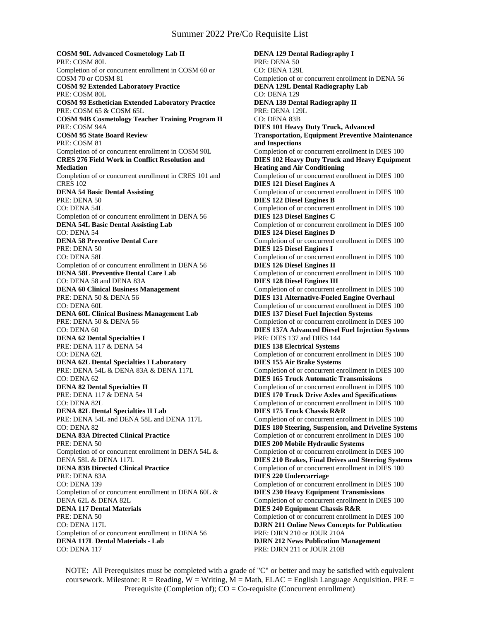**COSM 90L Advanced Cosmetology Lab II** PRE: COSM 80L Completion of or concurrent enrollment in COSM 60 or COSM 70 or COSM 81 **COSM 92 Extended Laboratory Practice** PRE: COSM 80L **COSM 93 Esthetician Extended Laboratory Practice** PRE: COSM 65 & COSM 65L **COSM 94B Cosmetology Teacher Training Program II** PRE: COSM 94A **COSM 95 State Board Review** PRE: COSM 81 Completion of or concurrent enrollment in COSM 90L **CRES 276 Field Work in Conflict Resolution and Mediation** Completion of or concurrent enrollment in CRES 101 and CRES 102 **DENA 54 Basic Dental Assisting** PRE: DENA 50 CO: DENA 54L Completion of or concurrent enrollment in DENA 56 **DENA 54L Basic Dental Assisting Lab** CO: DENA 54 **DENA 58 Preventive Dental Care** PRE: DENA 50 CO: DENA 58L Completion of or concurrent enrollment in DENA 56 **DENA 58L Preventive Dental Care Lab** CO: DENA 58 and DENA 83A **DENA 60 Clinical Business Management** PRE: DENA 50 & DENA 56 CO: DENA 60L **DENA 60L Clinical Business Management Lab** PRE: DENA 50 & DENA 56 CO: DENA 60 **DENA 62 Dental Specialties I** PRE: DENA 117 & DENA 54 CO: DENA 62L **DENA 62L Dental Specialties I Laboratory** PRE: DENA 54L & DENA 83A & DENA 117L CO: DENA 62 **DENA 82 Dental Specialties II** PRE: DENA 117 & DENA 54 CO: DENA 82L **DENA 82L Dental Specialties II Lab** PRE: DENA 54L and DENA 58L and DENA 117L CO: DENA 82 **DENA 83A Directed Clinical Practice** PRE: DENA 50 Completion of or concurrent enrollment in DENA 54L & DENA 58L & DENA 117L **DENA 83B Directed Clinical Practice** PRE: DENA 83A CO: DENA 139 Completion of or concurrent enrollment in DENA 60L & DENA 62L & DENA 82L **DENA 117 Dental Materials** PRE: DENA 50 CO: DENA 117L Completion of or concurrent enrollment in DENA 56 **DENA 117L Dental Materials - Lab** CO: DENA 117

**DENA 129 Dental Radiography I** PRE: DENA 50 CO: DENA 129L Completion of or concurrent enrollment in DENA 56 **DENA 129L Dental Radiography Lab** CO: DENA 129 **DENA 139 Dental Radiography II** PRE: DENA 129L CO: DENA 83B **DIES 101 Heavy Duty Truck, Advanced Transportation, Equipment Preventive Maintenance and Inspections** Completion of or concurrent enrollment in DIES 100 **DIES 102 Heavy Duty Truck and Heavy Equipment Heating and Air Conditioning** Completion of or concurrent enrollment in DIES 100 **DIES 121 Diesel Engines A** Completion of or concurrent enrollment in DIES 100 **DIES 122 Diesel Engines B** Completion of or concurrent enrollment in DIES 100 **DIES 123 Diesel Engines C** Completion of or concurrent enrollment in DIES 100 **DIES 124 Diesel Engines D** Completion of or concurrent enrollment in DIES 100 **DIES 125 Diesel Engines I** Completion of or concurrent enrollment in DIES 100 **DIES 126 Diesel Engines II** Completion of or concurrent enrollment in DIES 100 **DIES 128 Diesel Engines III** Completion of or concurrent enrollment in DIES 100 **DIES 131 Alternative-Fueled Engine Overhaul** Completion of or concurrent enrollment in DIES 100 **DIES 137 Diesel Fuel Injection Systems** Completion of or concurrent enrollment in DIES 100 **DIES 137A Advanced Diesel Fuel Injection Systems** PRE: DIES 137 and DIES 144 **DIES 138 Electrical Systems** Completion of or concurrent enrollment in DIES 100 **DIES 155 Air Brake Systems** Completion of or concurrent enrollment in DIES 100 **DIES 165 Truck Automatic Transmissions** Completion of or concurrent enrollment in DIES 100 **DIES 170 Truck Drive Axles and Specifications** Completion of or concurrent enrollment in DIES 100 **DIES 175 Truck Chassis R&R** Completion of or concurrent enrollment in DIES 100 **DIES 180 Steering, Suspension, and Driveline Systems** Completion of or concurrent enrollment in DIES 100 **DIES 200 Mobile Hydraulic Systems** Completion of or concurrent enrollment in DIES 100 **DIES 210 Brakes, Final Drives and Steering Systems** Completion of or concurrent enrollment in DIES 100 **DIES 220 Undercarriage** Completion of or concurrent enrollment in DIES 100 **DIES 230 Heavy Equipment Transmissions** Completion of or concurrent enrollment in DIES 100 **DIES 240 Equipment Chassis R&R** Completion of or concurrent enrollment in DIES 100 **DJRN 211 Online News Concepts for Publication** PRE: DJRN 210 or JOUR 210A **DJRN 212 News Publication Management** PRE: DJRN 211 or JOUR 210B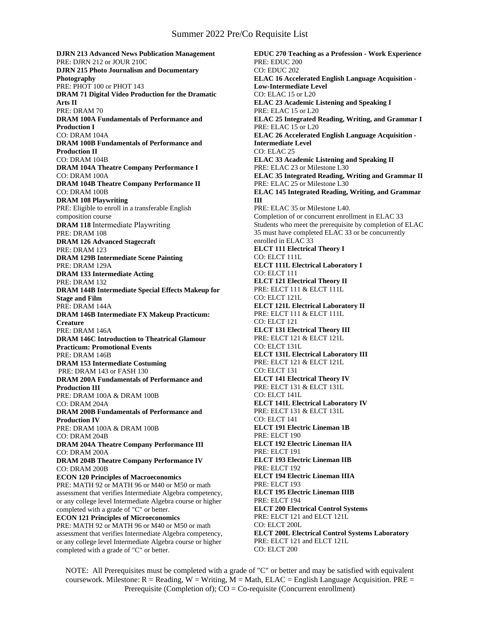# Summer 2022 Pre/Co Requisite List

**DJRN 213 Advanced News Publication Management** PRE: DJRN 212 or JOUR 210C **DJRN 215 Photo Journalism and Documentary Photography** PRE: PHOT 100 or PHOT 143 **DRAM 71 Digital Video Production for the Dramatic Arts II** PRE: DRAM 70 **DRAM 100A Fundamentals of Performance and Production I** CO: DRAM 104A **DRAM 100B Fundamentals of Performance and Production II** CO: DRAM 104B **DRAM 104A Theatre Company Performance I** CO: DRAM 100A **DRAM 104B Theatre Company Performance II** CO: DRAM 100B **DRAM 108 Playwriting** PRE: Eligible to enroll in a transferable English composition course **DRAM 118** Intermediate Playwriting PRE: DRAM 108 **DRAM 126 Advanced Stagecraft** PRE: DRAM 123 **DRAM 129B Intermediate Scene Painting** PRE: DRAM 129A **DRAM 133 Intermediate Acting** PRE: DRAM 132 **DRAM 144B Intermediate Special Effects Makeup for Stage and Film** PRE: DRAM 144A **DRAM 146B Intermediate FX Makeup Practicum: Creature** PRE: DRAM 146A **DRAM 146C Introduction to Theatrical Glamour Practicum: Promotional Events** PRE: DRAM 146B **DRAM 153 Intermediate Costuming** PRE: DRAM 143 or FASH 130 **DRAM 200A Fundamentals of Performance and Production III** PRE: DRAM 100A & DRAM 100B CO: DRAM 204A **DRAM 200B Fundamentals of Performance and Production IV** PRE: DRAM 100A & DRAM 100B CO: DRAM 204B **DRAM 204A Theatre Company Performance III** CO: DRAM 200A **DRAM 204B Theatre Company Performance IV** CO: DRAM 200B **ECON 120 Principles of Macroeconomics** PRE: MATH 92 or MATH 96 or M40 or M50 or math assessment that verifies Intermediate Algebra competency, or any college level Intermediate Algebra course or higher completed with a grade of "C" or better. **ECON 121 Principles of Microeconomics** PRE: MATH 92 or MATH 96 or M40 or M50 or math assessment that verifies Intermediate Algebra competency, or any college level Intermediate Algebra course or higher completed with a grade of "C" or better.

**EDUC 270 Teaching as a Profession - Work Experience** PRE: EDUC 200 CO: EDUC 202 **ELAC 16 Accelerated English Language Acquisition - Low-Intermediate Level** CO: ELAC 15 or L20 **ELAC 23 Academic Listening and Speaking I** PRE: ELAC 15 or L20 **ELAC 25 Integrated Reading, Writing, and Grammar I** PRE: ELAC 15 or L20 **ELAC 26 Accelerated English Language Acquisition - Intermediate Level** CO: ELAC 25 **ELAC 33 Academic Listening and Speaking II** PRE: ELAC 23 or Milestone L30 **ELAC 35 Integrated Reading, Writing and Grammar II** PRE: ELAC 25 or Milestone L30 **ELAC 145 Integrated Reading, Writing, and Grammar III** PRE: ELAC 35 or Milestone L40. Completion of or concurrent enrollment in ELAC 33 Students who meet the prerequisite by completion of ELAC 35 must have completed ELAC 33 or be concurrently enrolled in ELAC 33 **ELCT 111 Electrical Theory I** CO: ELCT 111L **ELCT 111L Electrical Laboratory I** CO: ELCT 111 **ELCT 121 Electrical Theory II** PRE: ELCT 111 & ELCT 111L CO: ELCT 121L **ELCT 121L Electrical Laboratory II** PRE: ELCT 111 & ELCT 111L CO: ELCT 121 **ELCT 131 Electrical Theory III** PRE: ELCT 121 & ELCT 121L CO: ELCT 131L **ELCT 131L Electrical Laboratory III** PRE: ELCT 121 & ELCT 121L CO: ELCT 131 **ELCT 141 Electrical Theory IV** PRE: ELCT 131 & ELCT 131L CO: ELCT 141L **ELCT 141L Electrical Laboratory IV** PRE: ELCT 131 & ELCT 131L CO: ELCT 141 **ELCT 191 Electric Lineman 1B** PRE: ELCT 190 **ELCT 192 Electric Lineman IIA** PRE: ELCT 191 **ELCT 193 Electric Lineman IIB** PRE: ELCT 192 **ELCT 194 Electric Lineman IIIA** PRE: ELCT 193 **ELCT 195 Electric Lineman IIIB** PRE: ELCT 194 **ELCT 200 Electrical Control Systems** PRE: ELCT 121 and ELCT 121L CO: ELCT 200L **ELCT 200L Electrical Control Systems Laboratory** PRE: ELCT 121 and ELCT 121L CO: ELCT 200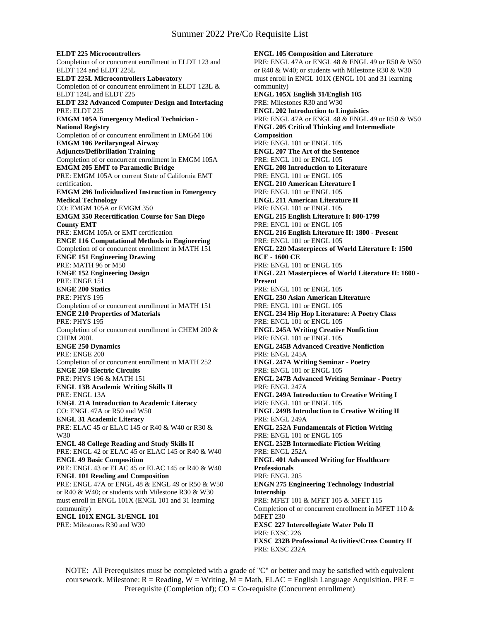**ELDT 225 Microcontrollers** Completion of or concurrent enrollment in ELDT 123 and ELDT 124 and ELDT 225L **ELDT 225L Microcontrollers Laboratory** Completion of or concurrent enrollment in ELDT 123L & ELDT 124L and ELDT 225 **ELDT 232 Advanced Computer Design and Interfacing** PRE: ELDT 225 **EMGM 105A Emergency Medical Technician - National Registry** Completion of or concurrent enrollment in EMGM 106 **EMGM 106 Perilaryngeal Airway Adjuncts/Defibrillation Training** Completion of or concurrent enrollment in EMGM 105A **EMGM 205 EMT to Paramedic Bridge** PRE: EMGM 105A or current State of California EMT certification. **EMGM 296 Individualized Instruction in Emergency Medical Technology** CO: EMGM 105A or EMGM 350 **EMGM 350 Recertification Course for San Diego County EMT** PRE: EMGM 105A or EMT certification **ENGE 116 Computational Methods in Engineering** Completion of or concurrent enrollment in MATH 151 **ENGE 151 Engineering Drawing** PRE: MATH 96 or M50 **ENGE 152 Engineering Design** PRE: ENGE 151 **ENGE 200 Statics** PRE: PHYS 195 Completion of or concurrent enrollment in MATH 151 **ENGE 210 Properties of Materials** PRE: PHYS 195 Completion of or concurrent enrollment in CHEM 200 & CHEM 200L **ENGE 250 Dynamics** PRE: ENGE 200 Completion of or concurrent enrollment in MATH 252 **ENGE 260 Electric Circuits** PRE: PHYS 196 & MATH 151 **ENGL 13B Academic Writing Skills II** PRE: ENGL 13A **ENGL 21A Introduction to Academic Literacy** CO: ENGL 47A or R50 and W50 **ENGL 31 Academic Literacy** PRE: ELAC 45 or ELAC 145 or R40 & W40 or R30 & W30 **ENGL 48 College Reading and Study Skills II** PRE: ENGL 42 or ELAC 45 or ELAC 145 or R40 & W40 **ENGL 49 Basic Composition** PRE: ENGL 43 or ELAC 45 or ELAC 145 or R40 & W40 **ENGL 101 Reading and Composition** PRE: ENGL 47A or ENGL 48 & ENGL 49 or R50 & W50 or R40 & W40; or students with Milestone R30 & W30 must enroll in ENGL 101X (ENGL 101 and 31 learning community) **ENGL 101X ENGL 31/ENGL 101** PRE: Milestones R30 and W30

**ENGL 105 Composition and Literature** PRE: ENGL 47A or ENGL 48 & ENGL 49 or R50 & W50 or R40 & W40; or students with Milestone R30 & W30 must enroll in ENGL 101X (ENGL 101 and 31 learning community) **ENGL 105X English 31/English 105** PRE: Milestones R30 and W30 **ENGL 202 Introduction to Linguistics** PRE: ENGL 47A or ENGL 48 & ENGL 49 or R50 & W50 **ENGL 205 Critical Thinking and Intermediate Composition** PRE: ENGL 101 or ENGL 105 **ENGL 207 The Art of the Sentence** PRE: ENGL 101 or ENGL 105 **ENGL 208 Introduction to Literature** PRE: ENGL 101 or ENGL 105 **ENGL 210 American Literature I** PRE: ENGL 101 or ENGL 105 **ENGL 211 American Literature II** PRE: ENGL 101 or ENGL 105 **ENGL 215 English Literature I: 800-1799** PRE: ENGL 101 or ENGL 105 **ENGL 216 English Literature II: 1800 - Present** PRE: ENGL 101 or ENGL 105 **ENGL 220 Masterpieces of World Literature I: 1500 BCE - 1600 CE** PRE: ENGL 101 or ENGL 105 **ENGL 221 Masterpieces of World Literature II: 1600 - Present** PRE: ENGL 101 or ENGL 105 **ENGL 230 Asian American Literature** PRE: ENGL 101 or ENGL 105 **ENGL 234 Hip Hop Literature: A Poetry Class** PRE: ENGL 101 or ENGL 105 **ENGL 245A Writing Creative Nonfiction** PRE: ENGL 101 or ENGL 105 **ENGL 245B Advanced Creative Nonfiction** PRE: ENGL 245A **ENGL 247A Writing Seminar - Poetry** PRE: ENGL 101 or ENGL 105 **ENGL 247B Advanced Writing Seminar - Poetry** PRE: ENGL 247A **ENGL 249A Introduction to Creative Writing I** PRE: ENGL 101 or ENGL 105 **ENGL 249B Introduction to Creative Writing II** PRE: ENGL 249A **ENGL 252A Fundamentals of Fiction Writing** PRE: ENGL 101 or ENGL 105 **ENGL 252B Intermediate Fiction Writing** PRE: ENGL 252A **ENGL 401 Advanced Writing for Healthcare Professionals** PRE: ENGL 205 **ENGN 275 Engineering Technology Industrial Internship** PRE: MFET 101 & MFET 105 & MFET 115 Completion of or concurrent enrollment in MFET 110 & MFET 230 **EXSC 227 Intercollegiate Water Polo II** PRE: EXSC 226 **EXSC 232B Professional Activities/Cross Country II** PRE: EXSC 232A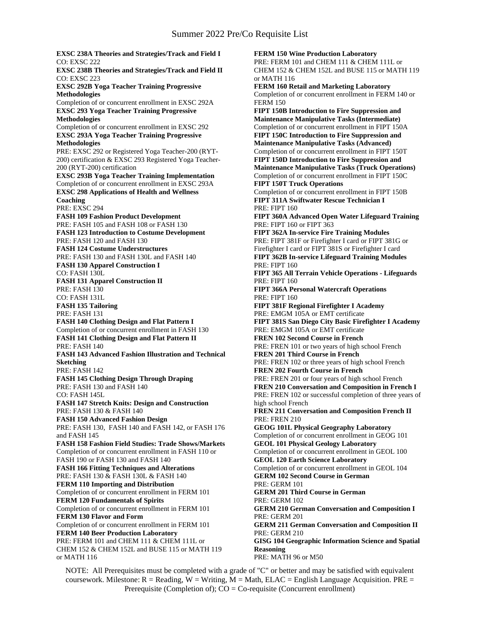**EXSC 238A Theories and Strategies/Track and Field I** CO: EXSC 222 **EXSC 238B Theories and Strategies/Track and Field II** CO: EXSC 223 **EXSC 292B Yoga Teacher Training Progressive Methodologies** Completion of or concurrent enrollment in EXSC 292A **EXSC 293 Yoga Teacher Training Progressive Methodologies** Completion of or concurrent enrollment in EXSC 292 **EXSC 293A Yoga Teacher Training Progressive Methodologies** PRE: EXSC 292 or Registered Yoga Teacher-200 (RYT-200) certification & EXSC 293 Registered Yoga Teacher-200 (RYT-200) certification **EXSC 293B Yoga Teacher Training Implementation** Completion of or concurrent enrollment in EXSC 293A **EXSC 298 Applications of Health and Wellness Coaching** PRE: EXSC 294 **FASH 109 Fashion Product Development** PRE: FASH 105 and FASH 108 or FASH 130 **FASH 123 Introduction to Costume Development** PRE: FASH 120 and FASH 130 **FASH 124 Costume Understructures** PRE: FASH 130 and FASH 130L and FASH 140 **FASH 130 Apparel Construction I** CO: FASH 130L **FASH 131 Apparel Construction II** PRE: FASH 130 CO: FASH 131L **FASH 135 Tailoring** PRE: FASH 131 **FASH 140 Clothing Design and Flat Pattern I** Completion of or concurrent enrollment in FASH 130 **FASH 141 Clothing Design and Flat Pattern II** PRE: FASH 140 **FASH 143 Advanced Fashion Illustration and Technical Sketching** PRE: FASH 142 **FASH 145 Clothing Design Through Draping** PRE: FASH 130 and FASH 140 CO: FASH 145L **FASH 147 Stretch Knits: Design and Construction** PRE: FASH 130 & FASH 140 **FASH 150 Advanced Fashion Design** PRE: FASH 130, FASH 140 and FASH 142, or FASH 176 and FASH 145 **FASH 158 Fashion Field Studies: Trade Shows/Markets** Completion of or concurrent enrollment in FASH 110 or FASH 190 or FASH 130 and FASH 140 **FASH 166 Fitting Techniques and Alterations** PRE: FASH 130 & FASH 130L & FASH 140 **FERM 110 Importing and Distribution** Completion of or concurrent enrollment in FERM 101 **FERM 120 Fundamentals of Spirits** Completion of or concurrent enrollment in FERM 101 **FERM 130 Flavor and Form** Completion of or concurrent enrollment in FERM 101 **FERM 140 Beer Production Laboratory** PRE: FERM 101 and CHEM 111 & CHEM 111L or CHEM 152 & CHEM 152L and BUSE 115 or MATH 119 or MATH 116

**FERM 150 Wine Production Laboratory** PRE: FERM 101 and CHEM 111 & CHEM 111L or CHEM 152 & CHEM 152L and BUSE 115 or MATH 119 or MATH 116 **FERM 160 Retail and Marketing Laboratory** Completion of or concurrent enrollment in FERM 140 or FERM 150 **FIPT 150B Introduction to Fire Suppression and Maintenance Manipulative Tasks (Intermediate)** Completion of or concurrent enrollment in FIPT 150A **FIPT 150C Introduction to Fire Suppression and Maintenance Manipulative Tasks (Advanced)** Completion of or concurrent enrollment in FIPT 150T **FIPT 150D Introduction to Fire Suppression and Maintenance Manipulative Tasks (Truck Operations)** Completion of or concurrent enrollment in FIPT 150C **FIPT 150T Truck Operations** Completion of or concurrent enrollment in FIPT 150B **FIPT 311A Swiftwater Rescue Technician I** PRE: FIPT 160 **FIPT 360A Advanced Open Water Lifeguard Training** PRE: FIPT 160 or FIPT 363 **FIPT 362A In-service Fire Training Modules** PRE: FIPT 381F or Firefighter I card or FIPT 381G or Firefighter I card or FIPT 381S or Firefighter I card **FIPT 362B In-service Lifeguard Training Modules** PRE: FIPT 160 **FIPT 365 All Terrain Vehicle Operations - Lifeguards** PRE: FIPT 160 **FIPT 366A Personal Watercraft Operations** PRE: FIPT 160 **FIPT 381F Regional Firefighter I Academy** PRE: EMGM 105A or EMT certificate **FIPT 381S San Diego City Basic Firefighter I Academy** PRE: EMGM 105A or EMT certificate **FREN 102 Second Course in French** PRE: FREN 101 or two years of high school French **FREN 201 Third Course in French** PRE: FREN 102 or three years of high school French **FREN 202 Fourth Course in French** PRE: FREN 201 or four years of high school French **FREN 210 Conversation and Composition in French I** PRE: FREN 102 or successful completion of three years of high school French **FREN 211 Conversation and Composition French II** PRE: FREN 210 **GEOG 101L Physical Geography Laboratory** Completion of or concurrent enrollment in GEOG 101 **GEOL 101 Physical Geology Laboratory** Completion of or concurrent enrollment in GEOL 100 **GEOL 120 Earth Science Laboratory** Completion of or concurrent enrollment in GEOL 104 **GERM 102 Second Course in German** PRE: GERM 101 **GERM 201 Third Course in German** PRE: GERM 102 **GERM 210 German Conversation and Composition I** PRE: GERM 201 **GERM 211 German Conversation and Composition II** PRE: GERM 210 **GISG 104 Geographic Information Science and Spatial Reasoning** PRE: MATH 96 or M50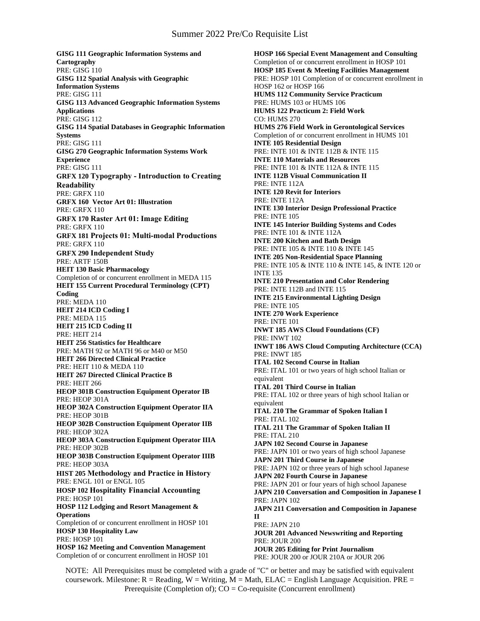**GISG 111 Geographic Information Systems and Cartography** PRE: GISG 110 **GISG 112 Spatial Analysis with Geographic Information Systems** PRE: GISG 111 **GISG 113 Advanced Geographic Information Systems Applications** PRE: GISG 112 **GISG 114 Spatial Databases in Geographic Information Systems** PRE: GISG 111 **GISG 270 Geographic Information Systems Work Experience** PRE: GISG 111 **GRFX 120 Typography - Introduction to Creating Readability** PRE: GRFX 110 **GRFX 160 Vector Art 01: Illustration** PRE: GRFX 110 **GRFX 170 Raster Art 01: Image Editing** PRE: GRFX 110 **GRFX 181 Projects 01: Multi-modal Productions** PRE: GRFX 110 **GRFX 290 Independent Study** PRE: ARTF 150B **HEIT 130 Basic Pharmacology** Completion of or concurrent enrollment in MEDA 115 **HEIT 155 Current Procedural Terminology (CPT) Coding** PRE: MEDA 110 **HEIT 214 ICD Coding I** PRE: MEDA 115 **HEIT 215 ICD Coding II** PRE: HEIT 214 **HEIT 256 Statistics for Healthcare** PRE: MATH 92 or MATH 96 or M40 or M50 **HEIT 266 Directed Clinical Practice**  PRE: HEIT 110 & MEDA 110 **HEIT 267 Directed Clinical Practice B** PRE: HEIT 266 **HEOP 301B Construction Equipment Operator IB** PRE: HEOP 301A **HEOP 302A Construction Equipment Operator IIA** PRE: HEOP 301B **HEOP 302B Construction Equipment Operator IIB** PRE: HEOP 302A **HEOP 303A Construction Equipment Operator IIIA** PRE: HEOP 302B **HEOP 303B Construction Equipment Operator IIIB** PRE: HEOP 303A **HIST 205 Methodology and Practice in History** PRE: ENGL 101 or ENGL 105 **HOSP 102 Hospitality Financial Accounting** PRE: HOSP 101 **HOSP 112 Lodging and Resort Management & Operations** Completion of or concurrent enrollment in HOSP 101 **HOSP 130 Hospitality Law** PRE: HOSP 101 **HOSP 162 Meeting and Convention Management** Completion of or concurrent enrollment in HOSP 101

**HOSP 166 Special Event Management and Consulting** Completion of or concurrent enrollment in HOSP 101 **HOSP 185 Event & Meeting Facilities Management** PRE: HOSP 101 Completion of or concurrent enrollment in HOSP 162 or HOSP 166 **HUMS 112 Community Service Practicum** PRE: HUMS 103 or HUMS 106 **HUMS 122 Practicum 2: Field Work** CO: HUMS 270 **HUMS 276 Field Work in Gerontological Services** Completion of or concurrent enrollment in HUMS 101 **INTE 105 Residential Design** PRE: INTE 101 & INTE 112B & INTE 115 **INTE 110 Materials and Resources** PRE: INTE 101 & INTE 112A & INTE 115 **INTE 112B Visual Communication II** PRE: INTE 112A **INTE 120 Revit for Interiors** PRE: INTE 112A **INTE 130 Interior Design Professional Practice** PRE: INTE 105 **INTE 145 Interior Building Systems and Codes** PRE: INTE 101 & INTE 112A **INTE 200 Kitchen and Bath Design** PRE: INTE 105 & INTE 110 & INTE 145 **INTE 205 Non-Residential Space Planning** PRE: INTE 105 & INTE 110 & INTE 145, & INTE 120 or INTE 135 **INTE 210 Presentation and Color Rendering** PRE: INTE 112B and INTE 115 **INTE 215 Environmental Lighting Design** PRE: INTE 105 **INTE 270 Work Experience** PRE: INTE 101 **INWT 185 AWS Cloud Foundations (CF)** PRE: INWT 102 **INWT 186 AWS Cloud Computing Architecture (CCA)** PRE: INWT 185 **ITAL 102 Second Course in Italian** PRE: ITAL 101 or two years of high school Italian or equivalent **ITAL 201 Third Course in Italian** PRE: ITAL 102 or three years of high school Italian or equivalent **ITAL 210 The Grammar of Spoken Italian I** PRE: ITAL 102 **ITAL 211 The Grammar of Spoken Italian II** PRE: ITAL 210 **JAPN 102 Second Course in Japanese** PRE: JAPN 101 or two years of high school Japanese **JAPN 201 Third Course in Japanese** PRE: JAPN 102 or three years of high school Japanese **JAPN 202 Fourth Course in Japanese** PRE: JAPN 201 or four years of high school Japanese **JAPN 210 Conversation and Composition in Japanese I** PRE: JAPN 102 **JAPN 211 Conversation and Composition in Japanese II** PRE: JAPN 210 **JOUR 201 Advanced Newswriting and Reporting** PRE: JOUR 200 **JOUR 205 Editing for Print Journalism** PRE: JOUR 200 or JOUR 210A or JOUR 206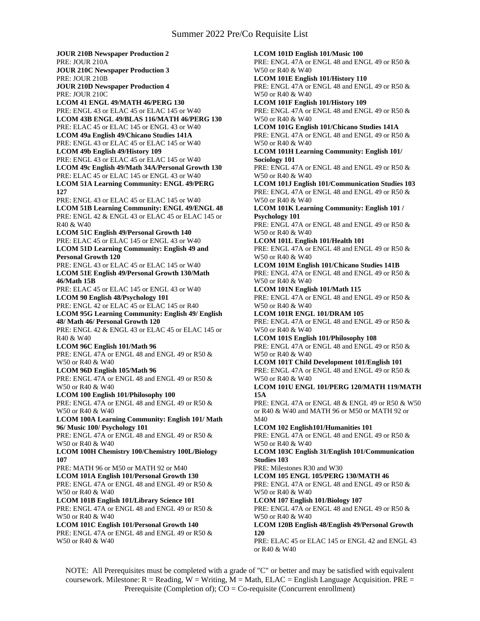**JOUR 210B Newspaper Production 2** PRE: JOUR 210A **JOUR 210C Newspaper Production 3** PRE: JOUR 210B **JOUR 210D Newspaper Production 4** PRE: JOUR 210C **LCOM 41 ENGL 49/MATH 46/PERG 130** PRE: ENGL 43 or ELAC 45 or ELAC 145 or W40 **LCOM 43B ENGL 49/BLAS 116/MATH 46/PERG 130** PRE: ELAC 45 or ELAC 145 or ENGL 43 or W40 **LCOM 49a English 49/Chicano Studies 141A** PRE: ENGL 43 or ELAC 45 or ELAC 145 or W40 **LCOM 49b English 49/History 109** PRE: ENGL 43 or ELAC 45 or ELAC 145 or W40 **LCOM 49c English 49/Math 34A/Personal Growth 130** PRE: ELAC 45 or ELAC 145 or ENGL 43 or W40 **LCOM 51A Learning Community: ENGL 49/PERG 127** PRE: ENGL 43 or ELAC 45 or ELAC 145 or W40 **LCOM 51B Learning Community: ENGL 49/ENGL 48** PRE: ENGL 42 & ENGL 43 or ELAC 45 or ELAC 145 or R40 & W40 **LCOM 51C English 49/Personal Growth 140** PRE: ELAC 45 or ELAC 145 or ENGL 43 or W40 **LCOM 51D Learning Community: English 49 and Personal Growth 120** PRE: ENGL 43 or ELAC 45 or ELAC 145 or W40 **LCOM 51E English 49/Personal Growth 130/Math 46/Math 15B** PRE: ELAC 45 or ELAC 145 or ENGL 43 or W40 **LCOM 90 English 48/Psychology 101** PRE: ENGL 42 or ELAC 45 or ELAC 145 or R40 **LCOM 95G Learning Community: English 49/ English 48/ Math 46/ Personal Growth 120** PRE: ENGL 42 & ENGL 43 or ELAC 45 or ELAC 145 or R40 & W40 **LCOM 96C English 101/Math 96** PRE: ENGL 47A or ENGL 48 and ENGL 49 or R50 & W50 or R40 & W40 **LCOM 96D English 105/Math 96** PRE: ENGL 47A or ENGL 48 and ENGL 49 or R50 & W50 or R40 & W40 **LCOM 100 English 101/Philosophy 100** PRE: ENGL 47A or ENGL 48 and ENGL 49 or R50 & W50 or R40 & W40 **LCOM 100A Learning Community: English 101/ Math 96/ Music 100/ Psychology 101** PRE: ENGL 47A or ENGL 48 and ENGL 49 or R50 & W50 or R40 & W40 **LCOM 100H Chemistry 100/Chemistry 100L/Biology 107** PRE: MATH 96 or M50 or MATH 92 or M40 **LCOM 101A English 101/Personal Growth 130** PRE: ENGL 47A or ENGL 48 and ENGL 49 or R50 & W50 or R40 & W40 **LCOM 101B English 101/Library Science 101** PRE: ENGL 47A or ENGL 48 and ENGL 49 or R50 & W50 or R40 & W40 **LCOM 101C English 101/Personal Growth 140** PRE: ENGL 47A or ENGL 48 and ENGL 49 or R50 & W50 or R40 & W40

**LCOM 101D English 101/Music 100** PRE: ENGL 47A or ENGL 48 and ENGL 49 or R50 & W50 or R40 & W40 **LCOM 101E English 101/History 110** PRE: ENGL 47A or ENGL 48 and ENGL 49 or R50 & W50 or R40 & W40 **LCOM 101F English 101/History 109** PRE: ENGL 47A or ENGL 48 and ENGL 49 or R50 & W50 or R40 & W40 **LCOM 101G English 101/Chicano Studies 141A** PRE: ENGL 47A or ENGL 48 and ENGL 49 or R50 & W50 or R40 & W40 **LCOM 101H Learning Community: English 101/ Sociology 101** PRE: ENGL 47A or ENGL 48 and ENGL 49 or R50 & W50 or R40 & W40 **LCOM 101J English 101/Communication Studies 103** PRE: ENGL 47A or ENGL 48 and ENGL 49 or R50 & W50 or R40 & W40 **LCOM 101K Learning Community: English 101 / Psychology 101** PRE: ENGL 47A or ENGL 48 and ENGL 49 or R50 & W50 or R40 & W40 **LCOM 101L English 101/Health 101** PRE: ENGL 47A or ENGL 48 and ENGL 49 or R50 & W50 or R40 & W40 **LCOM 101M English 101/Chicano Studies 141B** PRE: ENGL 47A or ENGL 48 and ENGL 49 or R50 & W50 or R40 & W40 **LCOM 101N English 101/Math 115** PRE: ENGL 47A or ENGL 48 and ENGL 49 or R50 & W50 or R40 & W40 **LCOM 101R ENGL 101/DRAM 105** PRE: ENGL 47A or ENGL 48 and ENGL 49 or R50 & W50 or R40 & W40 **LCOM 101S English 101/Philosophy 108** PRE: ENGL 47A or ENGL 48 and ENGL 49 or R50 & W50 or R40 & W40 **LCOM 101T Child Development 101/English 101** PRE: ENGL 47A or ENGL 48 and ENGL 49 or R50 & W50 or R40 & W40 **LCOM 101U ENGL 101/PERG 120/MATH 119/MATH 15A** PRE: ENGL 47A or ENGL 48 & ENGL 49 or R50 & W50 or R40 & W40 and MATH 96 or M50 or MATH 92 or M40 **LCOM 102 English101/Humanities 101** PRE: ENGL 47A or ENGL 48 and ENGL 49 or R50 & W50 or R40 & W40 **LCOM 103C English 31/English 101/Communication Studies 103** PRE: Milestones R30 and W30 **LCOM 105 ENGL 105/PERG 130/MATH 46** PRE: ENGL 47A or ENGL 48 and ENGL 49 or R50 & W50 or R40 & W40 **LCOM 107 English 101/Biology 107** PRE: ENGL 47A or ENGL 48 and ENGL 49 or R50 & W50 or R40 & W40 **LCOM 120B English 48/English 49/Personal Growth 120** PRE: ELAC 45 or ELAC 145 or ENGL 42 and ENGL 43 or R40 & W40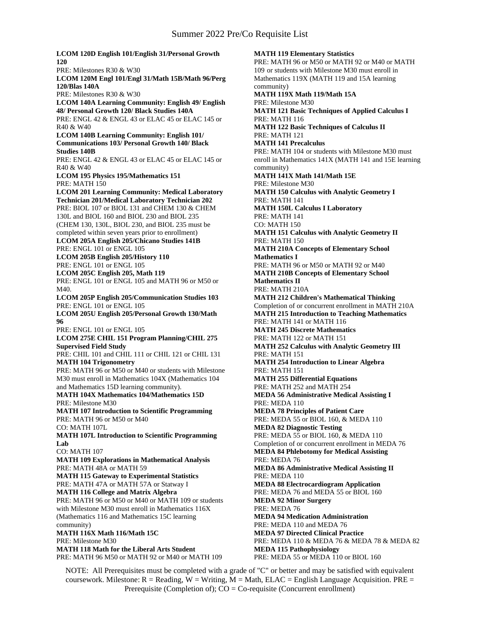**LCOM 120D English 101/English 31/Personal Growth 120** PRE: Milestones R30 & W30 **LCOM 120M Engl 101/Engl 31/Math 15B/Math 96/Perg 120/Blas 140A** PRE: Milestones R30 & W30 **LCOM 140A Learning Community: English 49/ English 48/ Personal Growth 120/ Black Studies 140A** PRE: ENGL 42 & ENGL 43 or ELAC 45 or ELAC 145 or R40 & W40 **LCOM 140B Learning Community: English 101/ Communications 103/ Personal Growth 140/ Black Studies 140B** PRE: ENGL 42 & ENGL 43 or ELAC 45 or ELAC 145 or R40 & W40 **LCOM 195 Physics 195/Mathematics 151** PRE: MATH 150 **LCOM 201 Learning Community: Medical Laboratory Technician 201/Medical Laboratory Technician 202** PRE: BIOL 107 or BIOL 131 and CHEM 130 & CHEM 130L and BIOL 160 and BIOL 230 and BIOL 235 (CHEM 130, 130L, BIOL 230, and BIOL 235 must be completed within seven years prior to enrollment) **LCOM 205A English 205/Chicano Studies 141B** PRE: ENGL 101 or ENGL 105 **LCOM 205B English 205/History 110** PRE: ENGL 101 or ENGL 105 **LCOM 205C English 205, Math 119** PRE: ENGL 101 or ENGL 105 and MATH 96 or M50 or M40. **LCOM 205P English 205/Communication Studies 103** PRE: ENGL 101 or ENGL 105 **LCOM 205U English 205/Personal Growth 130/Math 96** PRE: ENGL 101 or ENGL 105 **LCOM 275E CHIL 151 Program Planning/CHIL 275 Supervised Field Study** PRE: CHIL 101 and CHIL 111 or CHIL 121 or CHIL 131 **MATH 104 Trigonometry** PRE: MATH 96 or M50 or M40 or students with Milestone M30 must enroll in Mathematics 104X (Mathematics 104 and Mathematics 15D learning community). **MATH 104X Mathematics 104/Mathematics 15D** PRE: Milestone M30 **MATH 107 Introduction to Scientific Programming** PRE: MATH 96 or M50 or M40 CO: MATH 107L **MATH 107L Introduction to Scientific Programming Lab** CO: MATH 107 **MATH 109 Explorations in Mathematical Analysis** PRE: MATH 48A or MATH 59 **MATH 115 Gateway to Experimental Statistics** PRE: MATH 47A or MATH 57A or Statway I **MATH 116 College and Matrix Algebra** PRE: MATH 96 or M50 or M40 or MATH 109 or students with Milestone M30 must enroll in Mathematics 116X (Mathematics 116 and Mathematics 15C learning community) **MATH 116X Math 116/Math 15C** PRE: Milestone M30 **MATH 118 Math for the Liberal Arts Student** PRE: MATH 96 M50 or MATH 92 or M40 or MATH 109

**MATH 119 Elementary Statistics** PRE: MATH 96 or M50 or MATH 92 or M40 or MATH 109 or students with Milestone M30 must enroll in Mathematics 119X (MATH 119 and 15A learning community) **MATH 119X Math 119/Math 15A** PRE: Milestone M30 **MATH 121 Basic Techniques of Applied Calculus I** PRE: MATH 116 **MATH 122 Basic Techniques of Calculus II** PRE: MATH 121 **MATH 141 Precalculus** PRE: MATH 104 or students with Milestone M30 must enroll in Mathematics 141X (MATH 141 and 15E learning community) **MATH 141X Math 141/Math 15E** PRE: Milestone M30 **MATH 150 Calculus with Analytic Geometry I** PRE: MATH 141 **MATH 150L Calculus I Laboratory** PRE: MATH 141 CO: MATH 150 **MATH 151 Calculus with Analytic Geometry II** PRE: MATH 150 **MATH 210A Concepts of Elementary School Mathematics I** PRE: MATH 96 or M50 or MATH 92 or M40 **MATH 210B Concepts of Elementary School Mathematics II** PRE: MATH 210A **MATH 212 Children's Mathematical Thinking** Completion of or concurrent enrollment in MATH 210A **MATH 215 Introduction to Teaching Mathematics** PRE: MATH 141 or MATH 116 **MATH 245 Discrete Mathematics** PRE: MATH 122 or MATH 151 **MATH 252 Calculus with Analytic Geometry III** PRE: MATH 151 **MATH 254 Introduction to Linear Algebra** PRE: MATH 151 **MATH 255 Differential Equations** PRE: MATH 252 and MATH 254 **MEDA 56 Administrative Medical Assisting I** PRE: MEDA 110 **MEDA 78 Principles of Patient Care** PRE: MEDA 55 or BIOL 160, & MEDA 110 **MEDA 82 Diagnostic Testing** PRE: MEDA 55 or BIOL 160, & MEDA 110 Completion of or concurrent enrollment in MEDA 76 **MEDA 84 Phlebotomy for Medical Assisting** PRE: MEDA 76 **MEDA 86 Administrative Medical Assisting II** PRE: MEDA 110 **MEDA 88 Electrocardiogram Application** PRE: MEDA 76 and MEDA 55 or BIOL 160 **MEDA 92 Minor Surgery** PRE: MEDA 76 **MEDA 94 Medication Administration** PRE: MEDA 110 and MEDA 76 **MEDA 97 Directed Clinical Practice** PRE: MEDA 110 & MEDA 76 & MEDA 78 & MEDA 82 **MEDA 115 Pathophysiology** PRE: MEDA 55 or MEDA 110 or BIOL 160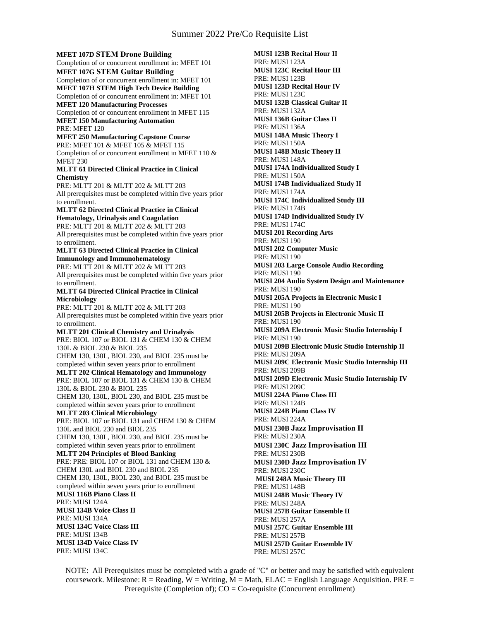**MFET 107D STEM Drone Building** Completion of or concurrent enrollment in: MFET 101 **MFET 107G STEM Guitar Building** Completion of or concurrent enrollment in: MFET 101 **MFET 107H STEM High Tech Device Building** Completion of or concurrent enrollment in: MFET 101 **MFET 120 Manufacturing Processes** Completion of or concurrent enrollment in MFET 115 **MFET 150 Manufacturing Automation** PRE: MFET 120 **MFET 250 Manufacturing Capstone Course** PRE: MFET 101 & MFET 105 & MFET 115 Completion of or concurrent enrollment in MFET 110 & MFET 230 **MLTT 61 Directed Clinical Practice in Clinical Chemistry** PRE: MLTT 201 & MLTT 202 & MLTT 203 All prerequisites must be completed within five years prior to enrollment. **MLTT 62 Directed Clinical Practice in Clinical Hematology, Urinalysis and Coagulation** PRE: MLTT 201 & MLTT 202 & MLTT 203 All prerequisites must be completed within five years prior to enrollment. **MLTT 63 Directed Clinical Practice in Clinical Immunology and Immunohematology** PRE: MLTT 201 & MLTT 202 & MLTT 203 All prerequisites must be completed within five years prior to enrollment. **MLTT 64 Directed Clinical Practice in Clinical Microbiology** PRE: MLTT 201 & MLTT 202 & MLTT 203 All prerequisites must be completed within five years prior to enrollment. **MLTT 201 Clinical Chemistry and Urinalysis** PRE: BIOL 107 or BIOL 131 & CHEM 130 & CHEM 130L & BIOL 230 & BIOL 235 CHEM 130, 130L, BIOL 230, and BIOL 235 must be completed within seven years prior to enrollment **MLTT 202 Clinical Hematology and Immunology** PRE: BIOL 107 or BIOL 131 & CHEM 130 & CHEM 130L & BIOL 230 & BIOL 235 CHEM 130, 130L, BIOL 230, and BIOL 235 must be completed within seven years prior to enrollment **MLTT 203 Clinical Microbiology** PRE: BIOL 107 or BIOL 131 and CHEM 130 & CHEM 130L and BIOL 230 and BIOL 235 CHEM 130, 130L, BIOL 230, and BIOL 235 must be completed within seven years prior to enrollment **MLTT 204 Principles of Blood Banking** PRE: PRE: BIOL 107 or BIOL 131 and CHEM 130 & CHEM 130L and BIOL 230 and BIOL 235 CHEM 130, 130L, BIOL 230, and BIOL 235 must be completed within seven years prior to enrollment **MUSI 116B Piano Class II** PRE: MUSI 124A **MUSI 134B Voice Class II** PRE: MUSI 134A **MUSI 134C Voice Class III** PRE: MUSI 134B **MUSI 134D Voice Class IV** PRE: MUSI 134C

**MUSI 123B Recital Hour II** PRE: MUSI 123A **MUSI 123C Recital Hour III** PRE: MUSI 123B **MUSI 123D Recital Hour IV** PRE: MUSI 123C **MUSI 132B Classical Guitar II** PRE: MUSI 132A **MUSI 136B Guitar Class II** PRE: MUSI 136A **MUSI 148A Music Theory I** PRE: MUSI 150A **MUSI 148B Music Theory II** PRE: MUSI 148A **MUSI 174A Individualized Study I** PRE: MUSI 150A **MUSI 174B Individualized Study II** PRE: MUSI 174A **MUSI 174C Individualized Study III** PRE: MUSI 174B **MUSI 174D Individualized Study IV** PRE: MUSI 174C **MUSI 201 Recording Arts** PRE: MUSI 190 **MUSI 202 Computer Music** PRE: MUSI 190 **MUSI 203 Large Console Audio Recording** PRE: MUSI 190 **MUSI 204 Audio System Design and Maintenance** PRE: MUSI 190 **MUSI 205A Projects in Electronic Music I** PRE: MUSI 190 **MUSI 205B Projects in Electronic Music II** PRE: MUSI 190 **MUSI 209A Electronic Music Studio Internship I** PRE: MUSI 190 **MUSI 209B Electronic Music Studio Internship II** PRE: MUSI 209A **MUSI 209C Electronic Music Studio Internship III** PRE: MUSI 209B **MUSI 209D Electronic Music Studio Internship IV** PRE: MUSI 209C **MUSI 224A Piano Class III** PRE: MUSI 124B **MUSI 224B Piano Class IV** PRE: MUSI 224A **MUSI 230B Jazz Improvisation II** PRE: MUSI 230A **MUSI 230C Jazz Improvisation III** PRE: MUSI 230B **MUSI 230D Jazz Improvisation IV** PRE: MUSI 230C **MUSI 248A Music Theory III** PRE: MUSI 148B **MUSI 248B Music Theory IV** PRE: MUSI 248A **MUSI 257B Guitar Ensemble II** PRE: MUSI 257A **MUSI 257C Guitar Ensemble III** PRE: MUSI 257B **MUSI 257D Guitar Ensemble IV** PRE: MUSI 257C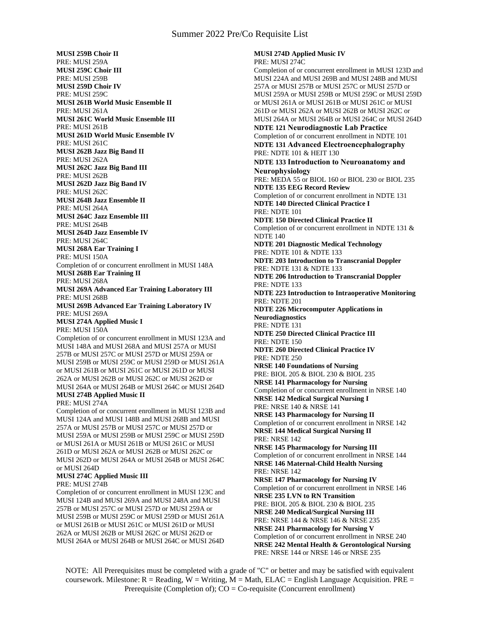**MUSI 259B Choir II** PRE: MUSI 259A **MUSI 259C Choir III** PRE: MUSI 259B **MUSI 259D Choir IV** PRE: MUSI 259C **MUSI 261B World Music Ensemble II** PRE: MUSI 261A **MUSI 261C World Music Ensemble III** PRE: MUSI 261B **MUSI 261D World Music Ensemble IV** PRE: MUSI 261C **MUSI 262B Jazz Big Band II** PRE: MUSI 262A **MUSI 262C Jazz Big Band III** PRE: MUSI 262B **MUSI 262D Jazz Big Band IV** PRE: MUSI 262C **MUSI 264B Jazz Ensemble II** PRE: MUSI 264A **MUSI 264C Jazz Ensemble III** PRE: MUSI 264B **MUSI 264D Jazz Ensemble IV** PRE: MUSI 264C **MUSI 268A Ear Training I** PRE: MUSI 150A Completion of or concurrent enrollment in MUSI 148A **MUSI 268B Ear Training II** PRE: MUSI 268A **MUSI 269A Advanced Ear Training Laboratory III** PRE: MUSI 268B **MUSI 269B Advanced Ear Training Laboratory IV** PRE: MUSI 269A **MUSI 274A Applied Music I** PRE: MUSI 150A Completion of or concurrent enrollment in MUSI 123A and MUSI 148A and MUSI 268A and MUSI 257A or MUSI 257B or MUSI 257C or MUSI 257D or MUSI 259A or MUSI 259B or MUSI 259C or MUSI 259D or MUSI 261A or MUSI 261B or MUSI 261C or MUSI 261D or MUSI 262A or MUSI 262B or MUSI 262C or MUSI 262D or MUSI 264A or MUSI 264B or MUSI 264C or MUSI 264D **MUSI 274B Applied Music II** PRE: MUSI 274A Completion of or concurrent enrollment in MUSI 123B and MUSI 124A and MUSI 148B and MUSI 268B and MUSI 257A or MUSI 257B or MUSI 257C or MUSI 257D or MUSI 259A or MUSI 259B or MUSI 259C or MUSI 259D or MUSI 261A or MUSI 261B or MUSI 261C or MUSI 261D or MUSI 262A or MUSI 262B or MUSI 262C or MUSI 262D or MUSI 264A or MUSI 264B or MUSI 264C

# or MUSI 264D

# **MUSI 274C Applied Music III**

PRE: MUSI 274B

Completion of or concurrent enrollment in MUSI 123C and MUSI 124B and MUSI 269A and MUSI 248A and MUSI 257B or MUSI 257C or MUSI 257D or MUSI 259A or MUSI 259B or MUSI 259C or MUSI 259D or MUSI 261A or MUSI 261B or MUSI 261C or MUSI 261D or MUSI 262A or MUSI 262B or MUSI 262C or MUSI 262D or MUSI 264A or MUSI 264B or MUSI 264C or MUSI 264D

**MUSI 274D Applied Music IV** PRE: MUSI 274C Completion of or concurrent enrollment in MUSI 123D and MUSI 224A and MUSI 269B and MUSI 248B and MUSI 257A or MUSI 257B or MUSI 257C or MUSI 257D or MUSI 259A or MUSI 259B or MUSI 259C or MUSI 259D or MUSI 261A or MUSI 261B or MUSI 261C or MUSI 261D or MUSI 262A or MUSI 262B or MUSI 262C or MUSI 264A or MUSI 264B or MUSI 264C or MUSI 264D **NDTE 121 Neurodiagnostic Lab Practice** Completion of or concurrent enrollment in NDTE 101 **NDTE 131 Advanced Electroencephalography** PRE: NDTE 101 & HEIT 130 **NDTE 133 Introduction to Neuroanatomy and Neurophysiology** PRE: MEDA 55 or BIOL 160 or BIOL 230 or BIOL 235 **NDTE 135 EEG Record Review** Completion of or concurrent enrollment in NDTE 131 **NDTE 140 Directed Clinical Practice I** PRE: NDTE 101 **NDTE 150 Directed Clinical Practice II** Completion of or concurrent enrollment in NDTE 131 & NDTE 140 **NDTE 201 Diagnostic Medical Technology** PRE: NDTE 101 & NDTE 133 **NDTE 203 Introduction to Transcranial Doppler** PRE: NDTE 131 & NDTE 133 **NDTE 206 Introduction to Transcranial Doppler** PRE: NDTE 133 **NDTE 223 Introduction to Intraoperative Monitoring** PRE: NDTE 201 **NDTE 226 Microcomputer Applications in Neurodiagnostics** PRE: NDTE 131 **NDTE 250 Directed Clinical Practice III** PRE: NDTE 150 **NDTE 260 Directed Clinical Practice IV** PRE: NDTE 250 **NRSE 140 Foundations of Nursing** PRE: BIOL 205 & BIOL 230 & BIOL 235 **NRSE 141 Pharmacology for Nursing** Completion of or concurrent enrollment in NRSE 140 **NRSE 142 Medical Surgical Nursing I** PRE: NRSE 140 & NRSE 141 **NRSE 143 Pharmacology for Nursing II** Completion of or concurrent enrollment in NRSE 142 **NRSE 144 Medical Surgical Nursing II** PRE: NRSE 142 **NRSE 145 Pharmacology for Nursing III** Completion of or concurrent enrollment in NRSE 144 **NRSE 146 Maternal-Child Health Nursing** PRE: NRSE 142 **NRSE 147 Pharmacology for Nursing IV** Completion of or concurrent enrollment in NRSE 146 **NRSE 235 LVN to RN Transition** PRE: BIOL 205 & BIOL 230 & BIOL 235 **NRSE 240 Medical/Surgical Nursing III** PRE: NRSE 144 & NRSE 146 & NRSE 235 **NRSE 241 Pharmacology for Nursing V** Completion of or concurrent enrollment in NRSE 240 **NRSE 242 Mental Health & Gerontological Nursing** PRE: NRSE 144 or NRSE 146 or NRSE 235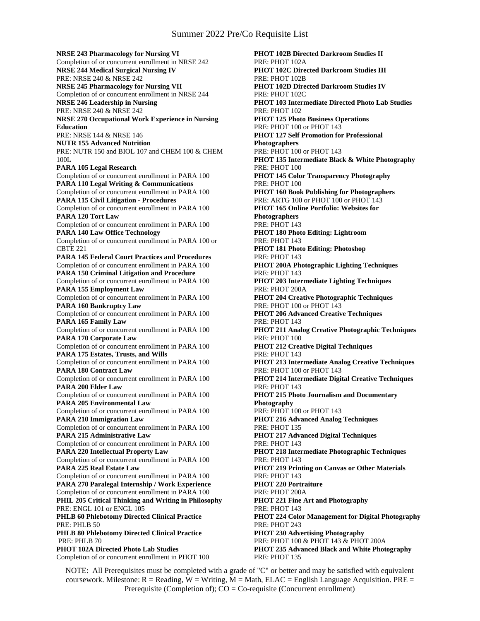**NRSE 243 Pharmacology for Nursing VI** Completion of or concurrent enrollment in NRSE 242 **NRSE 244 Medical Surgical Nursing IV** PRE: NRSE 240 & NRSE 242 **NRSE 245 Pharmacology for Nursing VII** Completion of or concurrent enrollment in NRSE 244 **NRSE 246 Leadership in Nursing** PRE: NRSE 240 & NRSE 242 **NRSE 270 Occupational Work Experience in Nursing Education** PRE: NRSE 144 & NRSE 146 **NUTR 155 Advanced Nutrition** PRE: NUTR 150 and BIOL 107 and CHEM 100 & CHEM 100L **PARA 105 Legal Research** Completion of or concurrent enrollment in PARA 100 **PARA 110 Legal Writing & Communications** Completion of or concurrent enrollment in PARA 100 **PARA 115 Civil Litigation - Procedures** Completion of or concurrent enrollment in PARA 100 **PARA 120 Tort Law** Completion of or concurrent enrollment in PARA 100 **PARA 140 Law Office Technology** Completion of or concurrent enrollment in PARA 100 or CBTE 221 **PARA 145 Federal Court Practices and Procedures** Completion of or concurrent enrollment in PARA 100 **PARA 150 Criminal Litigation and Procedure** Completion of or concurrent enrollment in PARA 100 **PARA 155 Employment Law** Completion of or concurrent enrollment in PARA 100 **PARA 160 Bankruptcy Law** Completion of or concurrent enrollment in PARA 100 **PARA 165 Family Law** Completion of or concurrent enrollment in PARA 100 **PARA 170 Corporate Law** Completion of or concurrent enrollment in PARA 100 **PARA 175 Estates, Trusts, and Wills** Completion of or concurrent enrollment in PARA 100 **PARA 180 Contract Law** Completion of or concurrent enrollment in PARA 100 **PARA 200 Elder Law** Completion of or concurrent enrollment in PARA 100 **PARA 205 Environmental Law** Completion of or concurrent enrollment in PARA 100 **PARA 210 Immigration Law** Completion of or concurrent enrollment in PARA 100 **PARA 215 Administrative Law** Completion of or concurrent enrollment in PARA 100 **PARA 220 Intellectual Property Law** Completion of or concurrent enrollment in PARA 100 **PARA 225 Real Estate Law** Completion of or concurrent enrollment in PARA 100 **PARA 270 Paralegal Internship / Work Experience** Completion of or concurrent enrollment in PARA 100 **PHIL 205 Critical Thinking and Writing in Philosophy** PRE: ENGL 101 or ENGL 105 **PHLB 60 Phlebotomy Directed Clinical Practice** PRE: PHLB 50 **PHLB 80 Phlebotomy Directed Clinical Practice** PRE: PHLB 70 **PHOT 102A Directed Photo Lab Studies** Completion of or concurrent enrollment in PHOT 100

**PHOT 102B Directed Darkroom Studies II** PRE: PHOT 102A **PHOT 102C Directed Darkroom Studies III** PRE: PHOT 102B **PHOT 102D Directed Darkroom Studies IV** PRE: PHOT 102C **PHOT 103 Intermediate Directed Photo Lab Studies** PRE: PHOT 102 **PHOT 125 Photo Business Operations** PRE: PHOT 100 or PHOT 143 **PHOT 127 Self Promotion for Professional Photographers** PRE: PHOT 100 or PHOT 143 **PHOT 135 Intermediate Black & White Photography** PRE: PHOT 100 **PHOT 145 Color Transparency Photography** PRE: PHOT 100 **PHOT 160 Book Publishing for Photographers** PRE: ARTG 100 or PHOT 100 or PHOT 143 **PHOT 165 Online Portfolio: Websites for Photographers** PRE: PHOT 143 **PHOT 180 Photo Editing: Lightroom** PRE: PHOT 143 **PHOT 181 Photo Editing: Photoshop** PRE: PHOT 143 **PHOT 200A Photographic Lighting Techniques** PRE: PHOT 143 **PHOT 203 Intermediate Lighting Techniques** PRE: PHOT 200A **PHOT 204 Creative Photographic Techniques** PRE: PHOT 100 or PHOT 143 **PHOT 206 Advanced Creative Techniques** PRE: PHOT 143 **PHOT 211 Analog Creative Photographic Techniques** PRE: PHOT 100 **PHOT 212 Creative Digital Techniques** PRE: PHOT 143 **PHOT 213 Intermediate Analog Creative Techniques** PRE: PHOT 100 or PHOT 143 **PHOT 214 Intermediate Digital Creative Techniques** PRE: PHOT 143 **PHOT 215 Photo Journalism and Documentary Photography** PRE: PHOT 100 or PHOT 143 **PHOT 216 Advanced Analog Techniques** PRE: PHOT 135 **PHOT 217 Advanced Digital Techniques** PRE: PHOT 143 **PHOT 218 Intermediate Photographic Techniques** PRE: PHOT 143 **PHOT 219 Printing on Canvas or Other Materials** PRE: PHOT 143 **PHOT 220 Portraiture** PRE: PHOT 200A **PHOT 221 Fine Art and Photography** PRE: PHOT 143 **PHOT 224 Color Management for Digital Photography** PRE: PHOT 243 **PHOT 230 Advertising Photography** PRE: PHOT 100 & PHOT 143 & PHOT 200A **PHOT 235 Advanced Black and White Photography** PRE: PHOT 135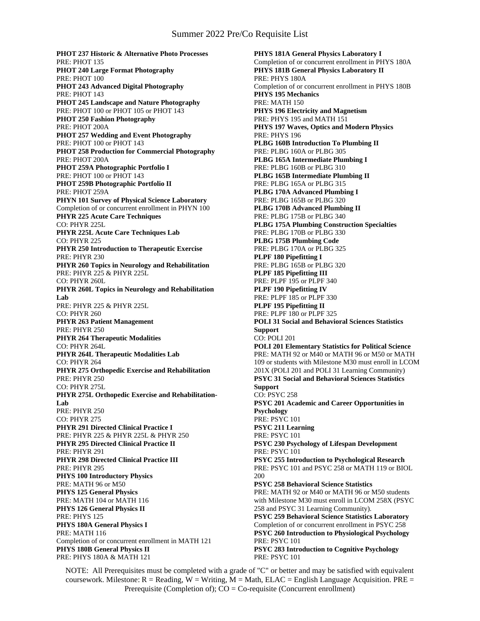**PHOT 237 Historic & Alternative Photo Processes** PRE: PHOT 135 **PHOT 240 Large Format Photography** PRE: PHOT 100 **PHOT 243 Advanced Digital Photography** PRE: PHOT 143 **PHOT 245 Landscape and Nature Photography** PRE: PHOT 100 or PHOT 105 or PHOT 143 **PHOT 250 Fashion Photography** PRE: PHOT 200A **PHOT 257 Wedding and Event Photography** PRE: PHOT 100 or PHOT 143 **PHOT 258 Production for Commercial Photography** PRE: PHOT 200A **PHOT 259A Photographic Portfolio I** PRE: PHOT 100 or PHOT 143 **PHOT 259B Photographic Portfolio II** PRE: PHOT 259A **PHYN 101 Survey of Physical Science Laboratory** Completion of or concurrent enrollment in PHYN 100 **PHYR 225 Acute Care Techniques** CO: PHYR 225L **PHYR 225L Acute Care Techniques Lab** CO: PHYR 225 **PHYR 250 Introduction to Therapeutic Exercise** PRE: PHYR 230 **PHYR 260 Topics in Neurology and Rehabilitation** PRE: PHYR 225 & PHYR 225L CO: PHYR 260L **PHYR 260L Topics in Neurology and Rehabilitation Lab** PRE: PHYR 225 & PHYR 225L CO: PHYR 260 **PHYR 263 Patient Management** PRE: PHYR 250 **PHYR 264 Therapeutic Modalities** CO: PHYR 264L **PHYR 264L Therapeutic Modalities Lab** CO: PHYR 264 **PHYR 275 Orthopedic Exercise and Rehabilitation** PRE: PHYR 250 CO: PHYR 275L **PHYR 275L Orthopedic Exercise and Rehabilitation-Lab** PRE: PHYR 250 CO: PHYR 275 **PHYR 291 Directed Clinical Practice I** PRE: PHYR 225 & PHYR 225L & PHYR 250 **PHYR 295 Directed Clinical Practice II** PRE: PHYR 291 **PHYR 298 Directed Clinical Practice III** PRE: PHYR 295 **PHYS 100 Introductory Physics** PRE: MATH 96 or M50 **PHYS 125 General Physics** PRE: MATH 104 or MATH 116 **PHYS 126 General Physics II** PRE: PHYS 125 **PHYS 180A General Physics I** PRE: MATH 116 Completion of or concurrent enrollment in MATH 121 **PHYS 180B General Physics II** PRE: PHYS 180A & MATH 121

**PHYS 181A General Physics Laboratory I** Completion of or concurrent enrollment in PHYS 180A **PHYS 181B General Physics Laboratory II** PRE: PHYS 180A Completion of or concurrent enrollment in PHYS 180B **PHYS 195 Mechanics** PRE: MATH 150 **PHYS 196 Electricity and Magnetism** PRE: PHYS 195 and MATH 151 **PHYS 197 Waves, Optics and Modern Physics** PRE: PHYS 196 **PLBG 160B Introduction To Plumbing II** PRE: PLBG 160A or PLBG 305 **PLBG 165A Intermediate Plumbing I** PRE: PLBG 160B or PLBG 310 **PLBG 165B Intermediate Plumbing II** PRE: PLBG 165A or PLBG 315 **PLBG 170A Advanced Plumbing I** PRE: PLBG 165B or PLBG 320 **PLBG 170B Advanced Plumbing II** PRE: PLBG 175B or PLBG 340 **PLBG 175A Plumbing Construction Specialties** PRE: PLBG 170B or PLBG 330 **PLBG 175B Plumbing Code** PRE: PLBG 170A or PLBG 325 **PLPF 180 Pipefitting I** PRE: PLBG 165B or PLBG 320 **PLPF 185 Pipefitting III** PRE: PLPF 195 or PLPF 340 **PLPF 190 Pipefitting IV** PRE: PLPF 185 or PLPF 330 **PLPF 195 Pipefitting II** PRE: PLPF 180 or PLPF 325 **POLI 31 Social and Behavioral Sciences Statistics Support** CO: POLI 201 **POLI 201 Elementary Statistics for Political Science** PRE: MATH 92 or M40 or MATH 96 or M50 or MATH 109 or students with Milestone M30 must enroll in LCOM 201X (POLI 201 and POLI 31 Learning Community) **PSYC 31 Social and Behavioral Sciences Statistics Support** CO: PSYC 258 **PSYC 201 Academic and Career Opportunities in Psychology** PRE: PSYC 101 **PSYC 211 Learning** PRE: PSYC 101 **PSYC 230 Psychology of Lifespan Development** PRE: PSYC 101 **PSYC 255 Introduction to Psychological Research** PRE: PSYC 101 and PSYC 258 or MATH 119 or BIOL 200 **PSYC 258 Behavioral Science Statistics** PRE: MATH 92 or M40 or MATH 96 or M50 students with Milestone M30 must enroll in LCOM 258X (PSYC 258 and PSYC 31 Learning Community). **PSYC 259 Behavioral Science Statistics Laboratory** Completion of or concurrent enrollment in PSYC 258 **PSYC 260 Introduction to Physiological Psychology** PRE: PSYC 101 **PSYC 283 Introduction to Cognitive Psychology** PRE: PSYC 101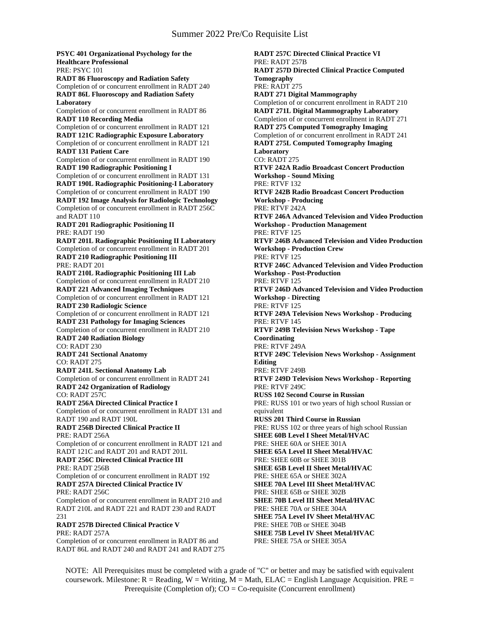**PSYC 401 Organizational Psychology for the Healthcare Professional** PRE: PSYC 101 **RADT 86 Fluoroscopy and Radiation Safety** Completion of or concurrent enrollment in RADT 240 **RADT 86L Fluoroscopy and Radiation Safety Laboratory** Completion of or concurrent enrollment in RADT 86 **RADT 110 Recording Media** Completion of or concurrent enrollment in RADT 121 **RADT 121C Radiographic Exposure Laboratory** Completion of or concurrent enrollment in RADT 121 **RADT 131 Patient Care** Completion of or concurrent enrollment in RADT 190 **RADT 190 Radiographic Positioning I** Completion of or concurrent enrollment in RADT 131 **RADT 190L Radiographic Positioning-I Laboratory** Completion of or concurrent enrollment in RADT 190 **RADT 192 Image Analysis for Radiologic Technology** Completion of or concurrent enrollment in RADT 256C and RADT 110 **RADT 201 Radiographic Positioning II** PRE: RADT 190 **RADT 201L Radiographic Positioning II Laboratory** Completion of or concurrent enrollment in RADT 201 **RADT 210 Radiographic Positioning III** PRE: RADT 201 **RADT 210L Radiographic Positioning III Lab** Completion of or concurrent enrollment in RADT 210 **RADT 221 Advanced Imaging Techniques** Completion of or concurrent enrollment in RADT 121 **RADT 230 Radiologic Science** Completion of or concurrent enrollment in RADT 121 **RADT 231 Pathology for Imaging Sciences** Completion of or concurrent enrollment in RADT 210 **RADT 240 Radiation Biology** CO: RADT 230 **RADT 241 Sectional Anatomy** CO: RADT 275 **RADT 241L Sectional Anatomy Lab** Completion of or concurrent enrollment in RADT 241 **RADT 242 Organization of Radiology** CO: RADT 257C **RADT 256A Directed Clinical Practice I** Completion of or concurrent enrollment in RADT 131 and RADT 190 and RADT 190L **RADT 256B Directed Clinical Practice II** PRE: RADT 256A Completion of or concurrent enrollment in RADT 121 and RADT 121C and RADT 201 and RADT 201L **RADT 256C Directed Clinical Practice III** PRE: RADT 256B Completion of or concurrent enrollment in RADT 192 **RADT 257A Directed Clinical Practice IV** PRE: RADT 256C Completion of or concurrent enrollment in RADT 210 and RADT 210L and RADT 221 and RADT 230 and RADT 231 **RADT 257B Directed Clinical Practice V** PRE: RADT 257A Completion of or concurrent enrollment in RADT 86 and RADT 86L and RADT 240 and RADT 241 and RADT 275

**RADT 257C Directed Clinical Practice VI** PRE: RADT 257B **RADT 257D Directed Clinical Practice Computed Tomography** PRE: RADT 275 **RADT 271 Digital Mammography** Completion of or concurrent enrollment in RADT 210 **RADT 271L Digital Mammography Laboratory** Completion of or concurrent enrollment in RADT 271 **RADT 275 Computed Tomography Imaging** Completion of or concurrent enrollment in RADT 241 **RADT 275L Computed Tomography Imaging Laboratory** CO: RADT 275 **RTVF 242A Radio Broadcast Concert Production Workshop - Sound Mixing** PRE: RTVF 132 **RTVF 242B Radio Broadcast Concert Production Workshop - Producing** PRE: RTVF 242A **RTVF 246A Advanced Television and Video Production Workshop - Production Management** PRE: RTVF 125 **RTVF 246B Advanced Television and Video Production Workshop - Production Crew** PRE: RTVF 125 **RTVF 246C Advanced Television and Video Production Workshop - Post-Production** PRE: RTVF 125 **RTVF 246D Advanced Television and Video Production Workshop - Directing** PRE: RTVF 125 **RTVF 249A Television News Workshop - Producing** PRE: RTVF 145 **RTVF 249B Television News Workshop - Tape Coordinating** PRE: RTVF 249A **RTVF 249C Television News Workshop - Assignment Editing** PRE: RTVF 249B **RTVF 249D Television News Workshop - Reporting** PRE: RTVF 249C **RUSS 102 Second Course in Russian** PRE: RUSS 101 or two years of high school Russian or equivalent **RUSS 201 Third Course in Russian** PRE: RUSS 102 or three years of high school Russian **SHEE 60B Level I Sheet Metal/HVAC** PRE: SHEE 60A or SHEE 301A **SHEE 65A Level II Sheet Metal/HVAC** PRE: SHEE 60B or SHEE 301B **SHEE 65B Level II Sheet Metal/HVAC** PRE: SHEE 65A or SHEE 302A **SHEE 70A Level III Sheet Metal/HVAC** PRE: SHEE 65B or SHEE 302B **SHEE 70B Level III Sheet Metal/HVAC** PRE: SHEE 70A or SHEE 304A **SHEE 75A Level IV Sheet Metal/HVAC** PRE: SHEE 70B or SHEE 304B **SHEE 75B Level IV Sheet Metal/HVAC** PRE: SHEE 75A or SHEE 305A